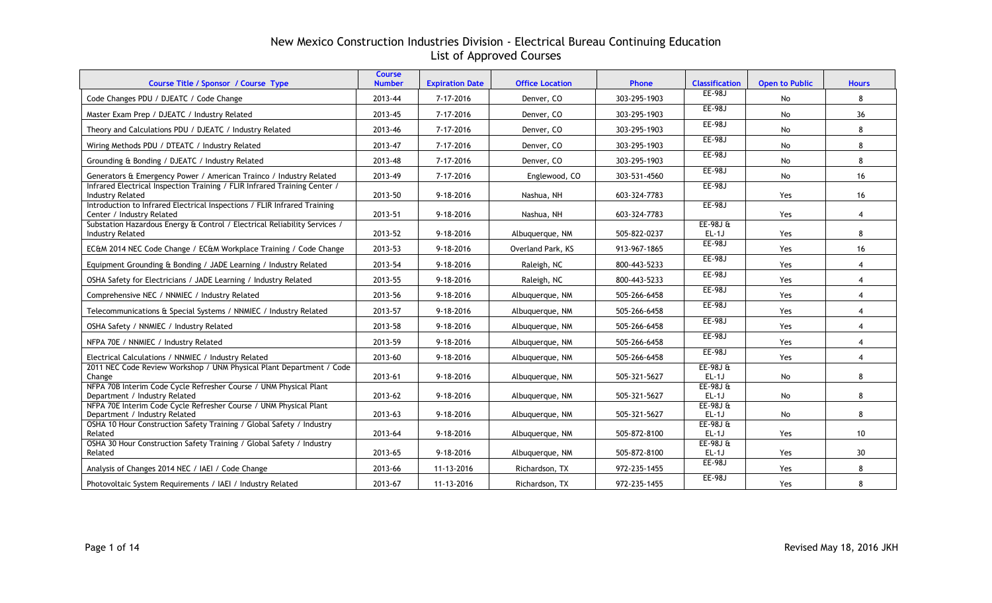| Course Title / Sponsor / Course Type                                                                  | <b>Course</b><br><b>Number</b> | <b>Expiration Date</b> | <b>Office Location</b> | Phone        | <b>Classification</b>  | <b>Open to Public</b> | <b>Hours</b>    |
|-------------------------------------------------------------------------------------------------------|--------------------------------|------------------------|------------------------|--------------|------------------------|-----------------------|-----------------|
| Code Changes PDU / DJEATC / Code Change                                                               | 2013-44                        | 7-17-2016              | Denver, CO             | 303-295-1903 | EE-98J                 | No                    | 8               |
| Master Exam Prep / DJEATC / Industry Related                                                          | 2013-45                        | 7-17-2016              | Denver, CO             | 303-295-1903 | EE-98J                 | No                    | 36              |
| Theory and Calculations PDU / DJEATC / Industry Related                                               | 2013-46                        | 7-17-2016              | Denver, CO             | 303-295-1903 | EE-98J                 | No                    | 8               |
| Wiring Methods PDU / DTEATC / Industry Related                                                        | 2013-47                        | 7-17-2016              | Denver, CO             | 303-295-1903 | <b>EE-98J</b>          | No                    | 8               |
| Grounding & Bonding / DJEATC / Industry Related                                                       | 2013-48                        | 7-17-2016              | Denver, CO             | 303-295-1903 | EE-98J                 | No                    | 8               |
| Generators & Emergency Power / American Trainco / Industry Related                                    | 2013-49                        | 7-17-2016              | Englewood, CO          | 303-531-4560 | EE-98J                 | No                    | 16              |
| Infrared Electrical Inspection Training / FLIR Infrared Training Center /<br><b>Industry Related</b>  | 2013-50                        | 9-18-2016              | Nashua, NH             | 603-324-7783 | EE-98J                 | Yes                   | 16              |
| Introduction to Infrared Electrical Inspections / FLIR Infrared Training<br>Center / Industry Related | 2013-51                        | 9-18-2016              | Nashua, NH             | 603-324-7783 | EE-98J                 | Yes                   | $\overline{4}$  |
| Substation Hazardous Energy & Control / Electrical Reliability Services /<br><b>Industry Related</b>  | 2013-52                        | $9 - 18 - 2016$        | Albuquerque, NM        | 505-822-0237 | $EE-98JE$<br>$EL-1J$   | Yes                   | 8               |
| EC&M 2014 NEC Code Change / EC&M Workplace Training / Code Change                                     | 2013-53                        | $9 - 18 - 2016$        | Overland Park, KS      | 913-967-1865 | EE-98J                 | Yes                   | 16              |
| Equipment Grounding & Bonding / JADE Learning / Industry Related                                      | 2013-54                        | 9-18-2016              | Raleigh, NC            | 800-443-5233 | EE-98J                 | Yes                   | $\overline{4}$  |
| OSHA Safety for Electricians / JADE Learning / Industry Related                                       | 2013-55                        | 9-18-2016              | Raleigh, NC            | 800-443-5233 | <b>EE-98J</b>          | Yes                   | $\overline{4}$  |
| Comprehensive NEC / NNMIEC / Industry Related                                                         | 2013-56                        | 9-18-2016              | Albuquerque, NM        | 505-266-6458 | EE-98J                 | Yes                   | $\overline{4}$  |
| Telecommunications & Special Systems / NNMIEC / Industry Related                                      | 2013-57                        | 9-18-2016              | Albuquerque, NM        | 505-266-6458 | <b>EE-98J</b>          | Yes                   | $\overline{4}$  |
| OSHA Safety / NNMIEC / Industry Related                                                               | 2013-58                        | 9-18-2016              | Albuquerque, NM        | 505-266-6458 | EE-98J                 | Yes                   | $\overline{4}$  |
| NFPA 70E / NNMIEC / Industry Related                                                                  | 2013-59                        | 9-18-2016              | Albuquerque, NM        | 505-266-6458 | <b>EE-98J</b>          | Yes                   | $\overline{4}$  |
| Electrical Calculations / NNMIEC / Industry Related                                                   | 2013-60                        | 9-18-2016              | Albuquerque, NM        | 505-266-6458 | EE-98J                 | Yes                   | $\overline{4}$  |
| 2011 NEC Code Review Workshop / UNM Physical Plant Department / Code<br>Change                        | 2013-61                        | 9-18-2016              | Albuquerque, NM        | 505-321-5627 | $EE-98J \&$<br>$EL-1J$ | No                    | 8               |
| NFPA 70B Interim Code Cycle Refresher Course / UNM Physical Plant<br>Department / Industry Related    | 2013-62                        | 9-18-2016              | Albuquerque, NM        | 505-321-5627 | $EE-98JE$<br>$EL-1J$   | No                    | 8               |
| NFPA 70E Interim Code Cycle Refresher Course / UNM Physical Plant<br>Department / Industry Related    | 2013-63                        | 9-18-2016              | Albuquerque, NM        | 505-321-5627 | $EE-98JE$<br>$EL-1J$   | No                    | 8               |
| OSHA 10 Hour Construction Safety Training / Global Safety / Industry<br>Related                       | 2013-64                        | 9-18-2016              | Albuquerque, NM        | 505-872-8100 | $EE-98JE$<br>$EL-1J$   | Yes                   | 10              |
| OSHA 30 Hour Construction Safety Training / Global Safety / Industry<br>Related                       | 2013-65                        | 9-18-2016              | Albuquerque, NM        | 505-872-8100 | $EE-98JE$<br>$EL-1J$   | Yes                   | 30 <sup>°</sup> |
| Analysis of Changes 2014 NEC / IAEI / Code Change                                                     | 2013-66                        | 11-13-2016             | Richardson, TX         | 972-235-1455 | EE-98J                 | Yes                   | 8               |
| Photovoltaic System Requirements / IAEI / Industry Related                                            | 2013-67                        | 11-13-2016             | Richardson, TX         | 972-235-1455 | EE-98J                 | Yes                   | 8               |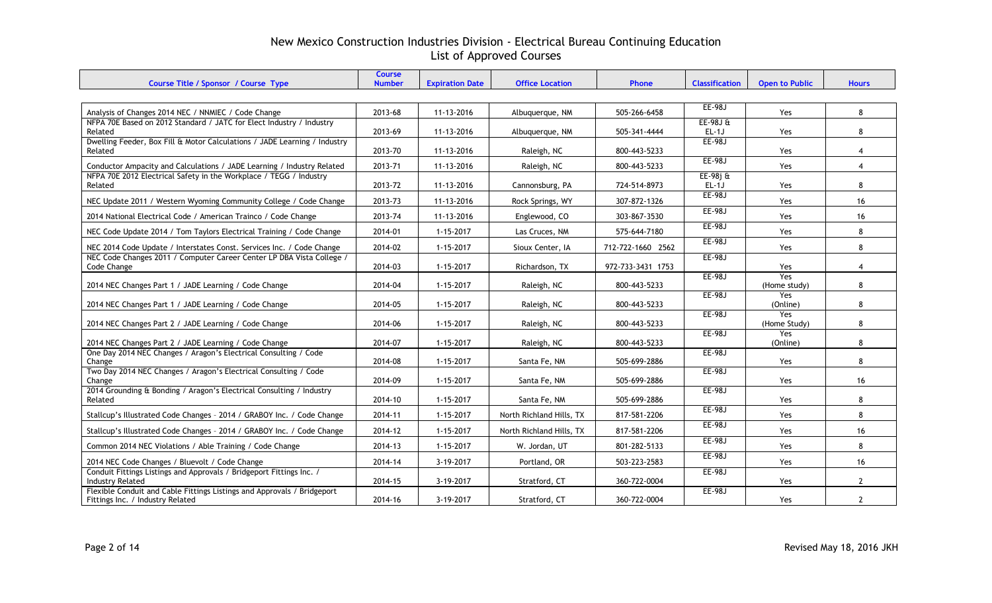| Course Title / Sponsor / Course Type                                                                        | <b>Course</b><br><b>Number</b> | <b>Expiration Date</b> | <b>Office Location</b>   | Phone             | <b>Classification</b> | <b>Open to Public</b>      | <b>Hours</b>   |
|-------------------------------------------------------------------------------------------------------------|--------------------------------|------------------------|--------------------------|-------------------|-----------------------|----------------------------|----------------|
|                                                                                                             |                                |                        |                          |                   |                       |                            |                |
| Analysis of Changes 2014 NEC / NNMIEC / Code Change                                                         | 2013-68                        | 11-13-2016             | Albuquerque, NM          | 505-266-6458      | EE-98J                | Yes                        | 8              |
| NFPA 70E Based on 2012 Standard / JATC for Elect Industry / Industry<br>Related                             | 2013-69                        | 11-13-2016             | Albuguergue, NM          | 505-341-4444      | $EE-98JE$<br>$EL-1J$  | Yes                        | 8              |
| Dwelling Feeder, Box Fill & Motor Calculations / JADE Learning / Industry                                   |                                |                        |                          |                   | EE-98J                |                            |                |
| Related                                                                                                     | 2013-70                        | 11-13-2016             | Raleigh, NC              | 800-443-5233      | <b>EE-98J</b>         | Yes                        | 4              |
| Conductor Ampacity and Calculations / JADE Learning / Industry Related                                      | 2013-71                        | 11-13-2016             | Raleigh, NC              | 800-443-5233      |                       | Yes                        | $\overline{4}$ |
| NFPA 70E 2012 Electrical Safety in the Workplace / TEGG / Industry<br>Related                               | 2013-72                        | 11-13-2016             | Cannonsburg, PA          | 724-514-8973      | $EE-98j$ &<br>$EL-1J$ | Yes                        | 8              |
| NEC Update 2011 / Western Wyoming Community College / Code Change                                           | 2013-73                        | 11-13-2016             | Rock Springs, WY         | 307-872-1326      | <b>EE-98J</b>         | Yes                        | 16             |
| 2014 National Electrical Code / American Trainco / Code Change                                              | 2013-74                        | 11-13-2016             | Englewood, CO            | 303-867-3530      | $EE-98J$              | Yes                        | 16             |
| NEC Code Update 2014 / Tom Taylors Electrical Training / Code Change                                        | 2014-01                        | $1 - 15 - 2017$        | Las Cruces, NM           | 575-644-7180      | EE-98J                | <b>Yes</b>                 | 8              |
| NEC 2014 Code Update / Interstates Const. Services Inc. / Code Change                                       | 2014-02                        | $1 - 15 - 2017$        | Sioux Center, IA         | 712-722-1660 2562 | EE-98J                | Yes                        | 8              |
| NEC Code Changes 2011 / Computer Career Center LP DBA Vista College /<br>Code Change                        | 2014-03                        | 1-15-2017              | Richardson, TX           | 972-733-3431 1753 | $EE-98J$              | Yes                        | 4              |
| 2014 NEC Changes Part 1 / JADE Learning / Code Change                                                       | 2014-04                        | $1 - 15 - 2017$        | Raleigh, NC              | 800-443-5233      | EE-98J                | Yes<br>(Home study)        | 8              |
| 2014 NEC Changes Part 1 / JADE Learning / Code Change                                                       | 2014-05                        | $1 - 15 - 2017$        | Raleigh, NC              | 800-443-5233      | <b>EE-98J</b>         | Yes<br>(Online)            | 8              |
|                                                                                                             |                                |                        |                          |                   | EE-98J                | <b>Yes</b>                 |                |
| 2014 NEC Changes Part 2 / JADE Learning / Code Change                                                       | 2014-06                        | $1 - 15 - 2017$        | Raleigh, NC              | 800-443-5233      | EE-98J                | (Home Study)<br><b>Yes</b> | 8              |
| 2014 NEC Changes Part 2 / JADE Learning / Code Change                                                       | 2014-07                        | $1 - 15 - 2017$        | Raleigh, NC              | 800-443-5233      |                       | (Online)                   | 8              |
| One Day 2014 NEC Changes / Aragon's Electrical Consulting / Code<br>Change                                  | 2014-08                        | $1 - 15 - 2017$        | Santa Fe, NM             | 505-699-2886      | <b>EE-98J</b>         | Yes                        | 8              |
| Two Day 2014 NEC Changes / Aragon's Electrical Consulting / Code                                            |                                |                        |                          |                   | EE-98J                |                            |                |
| Change<br>2014 Grounding & Bonding / Aragon's Electrical Consulting / Industry                              | 2014-09                        | $1 - 15 - 2017$        | Santa Fe, NM             | 505-699-2886      | $EE-98J$              | Yes                        | 16             |
| Related                                                                                                     | 2014-10                        | $1 - 15 - 2017$        | Santa Fe, NM             | 505-699-2886      |                       | Yes                        | 8              |
| Stallcup's Illustrated Code Changes - 2014 / GRABOY Inc. / Code Change                                      | 2014-11                        | $1 - 15 - 2017$        | North Richland Hills, TX | 817-581-2206      | EE-98J                | Yes                        | 8              |
| Stallcup's Illustrated Code Changes - 2014 / GRABOY Inc. / Code Change                                      | 2014-12                        | 1-15-2017              | North Richland Hills, TX | 817-581-2206      | EE-98J                | Yes                        | 16             |
| Common 2014 NEC Violations / Able Training / Code Change                                                    | 2014-13                        | $1 - 15 - 2017$        | W. Jordan, UT            | 801-282-5133      | <b>EE-98J</b>         | Yes                        | 8              |
| 2014 NEC Code Changes / Bluevolt / Code Change                                                              | 2014-14                        | 3-19-2017              | Portland, OR             | 503-223-2583      | EE-98J                | Yes                        | 16             |
| Conduit Fittings Listings and Approvals / Bridgeport Fittings Inc. /<br><b>Industry Related</b>             | 2014-15                        | 3-19-2017              | Stratford, CT            | 360-722-0004      | EE-98J                | Yes                        | $\mathbf{2}$   |
| Flexible Conduit and Cable Fittings Listings and Approvals / Bridgeport<br>Fittings Inc. / Industry Related | 2014-16                        | 3-19-2017              | Stratford, CT            | 360-722-0004      | $EE-98J$              | Yes                        | $\overline{2}$ |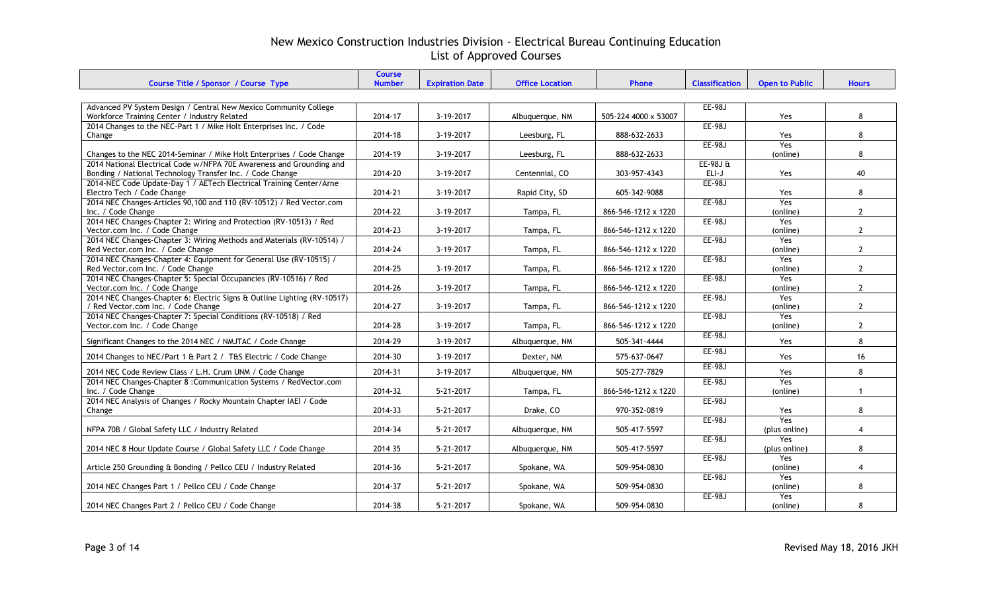|                                                                                                         | <b>Course</b> |                        |                        |                      |                       |                       |                      |
|---------------------------------------------------------------------------------------------------------|---------------|------------------------|------------------------|----------------------|-----------------------|-----------------------|----------------------|
| Course Title / Sponsor / Course Type                                                                    | <b>Number</b> | <b>Expiration Date</b> | <b>Office Location</b> | <b>Phone</b>         | <b>Classification</b> | <b>Open to Public</b> | <b>Hours</b>         |
|                                                                                                         |               |                        |                        |                      |                       |                       |                      |
| Advanced PV System Design / Central New Mexico Community College                                        |               |                        |                        |                      | <b>EE-98J</b>         |                       |                      |
| Workforce Training Center / Industry Related                                                            | 2014-17       | 3-19-2017              | Albuquerque, NM        | 505-224 4000 x 53007 |                       | Yes                   | 8                    |
| 2014 Changes to the NEC-Part 1 / Mike Holt Enterprises Inc. / Code                                      |               |                        |                        |                      | EE-98J                |                       |                      |
| Change                                                                                                  | 2014-18       | 3-19-2017              | Leesburg, FL           | 888-632-2633         |                       | Yes                   | 8                    |
|                                                                                                         |               |                        |                        |                      | EE-98J                | <b>Yes</b>            |                      |
| Changes to the NEC 2014-Seminar / Mike Holt Enterprises / Code Change                                   | 2014-19       | 3-19-2017              | Leesburg, FL           | 888-632-2633         |                       | (online)              | 8                    |
| 2014 National Electrical Code w/NFPA 70E Awareness and Grounding and                                    |               |                        |                        |                      | $EE-98JE$             |                       |                      |
| Bonding / National Technology Transfer Inc. / Code Change                                               | 2014-20       | 3-19-2017              | Centennial, CO         | 303-957-4343         | ELI-J                 | Yes                   | 40                   |
| 2014-NEC Code Update-Day 1 / AETech Electrical Training Center/Arne                                     |               |                        |                        |                      | <b>EE-98J</b>         |                       |                      |
| Electro Tech / Code Change                                                                              | 2014-21       | 3-19-2017              | Rapid City, SD         | 605-342-9088         |                       | <b>Yes</b>            | 8                    |
| 2014 NEC Changes-Articles 90,100 and 110 (RV-10512) / Red Vector.com                                    | 2014-22       |                        |                        |                      | <b>EE-98J</b>         | Yes                   | $\overline{2}$       |
| Inc. / Code Change                                                                                      |               | 3-19-2017              | Tampa, FL              | 866-546-1212 x 1220  |                       | (online)              |                      |
| 2014 NEC Changes-Chapter 2: Wiring and Protection (RV-10513) / Red                                      |               |                        |                        | 866-546-1212 x 1220  | <b>EE-98J</b>         | Yes                   | $\mathbf{2}$         |
| Vector.com Inc. / Code Change                                                                           | 2014-23       | 3-19-2017              | Tampa, FL              |                      | EE-98J                | (online)<br>Yes       |                      |
| 2014 NEC Changes-Chapter 3: Wiring Methods and Materials (RV-10514) /                                   |               | 3-19-2017              |                        |                      |                       |                       | $\mathbf{2}$         |
| Red Vector.com Inc. / Code Change<br>2014 NEC Changes-Chapter 4: Equipment for General Use (RV-10515) / | 2014-24       |                        | Tampa, FL              | 866-546-1212 x 1220  | EE-98J                | (online)<br>Yes       |                      |
| Red Vector.com Inc. / Code Change                                                                       | 2014-25       | 3-19-2017              | Tampa, FL              | 866-546-1212 x 1220  |                       | (online)              | $\overline{2}$       |
| 2014 NEC Changes-Chapter 5: Special Occupancies (RV-10516) / Red                                        |               |                        |                        |                      | <b>EE-98J</b>         | Yes                   |                      |
| Vector.com Inc. / Code Change                                                                           | 2014-26       | 3-19-2017              | Tampa, FL              | 866-546-1212 x 1220  |                       | (online)              | $\mathbf{2}$         |
| 2014 NEC Changes-Chapter 6: Electric Signs & Outline Lighting (RV-10517)                                |               |                        |                        |                      | EE-98J                | Yes                   |                      |
| / Red Vector.com Inc. / Code Change                                                                     | 2014-27       | 3-19-2017              | Tampa, FL              | 866-546-1212 x 1220  |                       | (online)              | $\mathbf{2}$         |
| 2014 NEC Changes-Chapter 7: Special Conditions (RV-10518) / Red                                         |               |                        |                        |                      | EE-98J                | Yes                   |                      |
| Vector.com Inc. / Code Change                                                                           | 2014-28       | 3-19-2017              | Tampa, FL              | 866-546-1212 x 1220  |                       | (online)              | $\mathbf{2}$         |
|                                                                                                         |               |                        |                        |                      | EE-98J                |                       |                      |
| Significant Changes to the 2014 NEC / NMJTAC / Code Change                                              | 2014-29       | 3-19-2017              | Albuquerque, NM        | 505-341-4444         |                       | Yes                   | 8                    |
| 2014 Changes to NEC/Part 1 & Part 2 / T&S Electric / Code Change                                        | 2014-30       | 3-19-2017              | Dexter, NM             | 575-637-0647         | EE-98J                | Yes                   | 16                   |
|                                                                                                         |               |                        |                        |                      | EE-98J                |                       |                      |
| 2014 NEC Code Review Class / L.H. Crum UNM / Code Change                                                | 2014-31       | 3-19-2017              | Albuquerque, NM        | 505-277-7829         |                       | Yes                   | 8                    |
| 2014 NEC Changes-Chapter 8 : Communication Systems / RedVector.com                                      |               |                        |                        |                      | EE-98J                | Yes                   |                      |
| Inc. / Code Change                                                                                      | 2014-32       | 5-21-2017              | Tampa, FL              | 866-546-1212 x 1220  |                       | (online)              | $\blacktriangleleft$ |
| 2014 NEC Analysis of Changes / Rocky Mountain Chapter IAEI / Code                                       |               |                        |                        |                      | EE-98J                |                       |                      |
| Change                                                                                                  | 2014-33       | 5-21-2017              | Drake, CO              | 970-352-0819         |                       | Yes                   | 8                    |
|                                                                                                         |               |                        |                        |                      | <b>EE-98J</b>         | Yes                   |                      |
| NFPA 70B / Global Safety LLC / Industry Related                                                         | 2014-34       | 5-21-2017              | Albuquerque, NM        | 505-417-5597         |                       | (plus online)         | $\overline{4}$       |
|                                                                                                         |               |                        |                        |                      | EE-98J                | Yes                   |                      |
| 2014 NEC 8 Hour Update Course / Global Safety LLC / Code Change                                         | 2014 35       | $5 - 21 - 2017$        | Albuquerque, NM        | 505-417-5597         |                       | (plus online)         | 8                    |
|                                                                                                         |               |                        |                        |                      | <b>EE-98J</b>         | Yes                   |                      |
| Article 250 Grounding & Bonding / Pellco CEU / Industry Related                                         | 2014-36       | 5-21-2017              | Spokane, WA            | 509-954-0830         |                       | (online)              | $\overline{4}$       |
|                                                                                                         |               |                        |                        |                      | EE-98J                | Yes                   |                      |
| 2014 NEC Changes Part 1 / Pellco CEU / Code Change                                                      | 2014-37       | 5-21-2017              | Spokane, WA            | 509-954-0830         |                       | (online)              | 8                    |
|                                                                                                         |               |                        |                        |                      | <b>EE-98J</b>         | Yes                   |                      |
| 2014 NEC Changes Part 2 / Pellco CEU / Code Change                                                      | 2014-38       | 5-21-2017              | Spokane, WA            | 509-954-0830         |                       | (online)              | 8                    |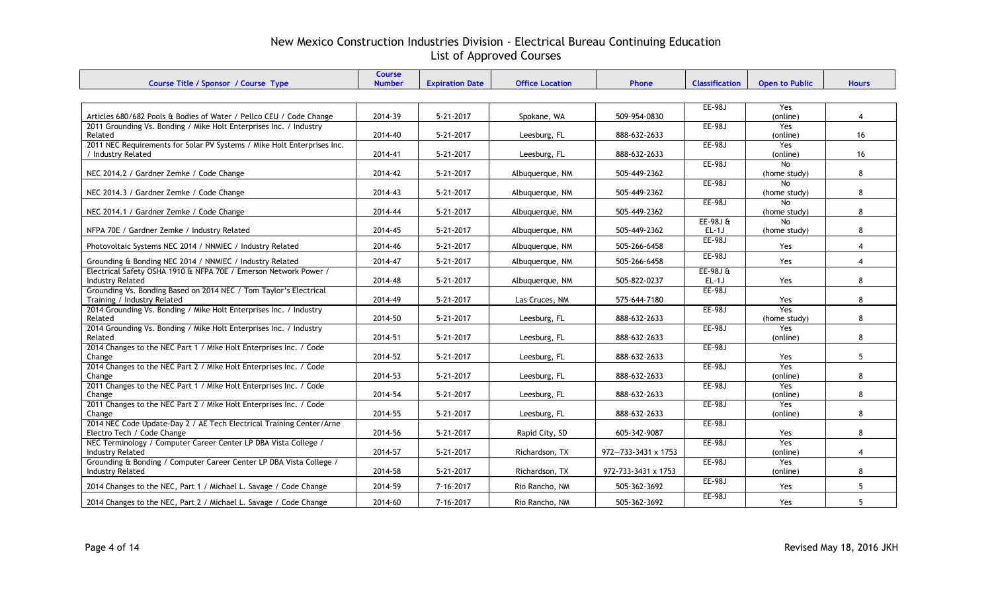| Course Title / Sponsor / Course Type                                               | <b>Course</b><br><b>Number</b> | <b>Expiration Date</b> | <b>Office Location</b> | <b>Phone</b>        | <b>Classification</b> | <b>Open to Public</b> | <b>Hours</b>   |
|------------------------------------------------------------------------------------|--------------------------------|------------------------|------------------------|---------------------|-----------------------|-----------------------|----------------|
|                                                                                    |                                |                        |                        |                     |                       |                       |                |
|                                                                                    |                                |                        |                        |                     |                       |                       |                |
|                                                                                    |                                |                        |                        |                     | <b>EE-98J</b>         | Yes                   |                |
| Articles 680/682 Pools & Bodies of Water / Pellco CEU / Code Change                | 2014-39                        | $5 - 21 - 2017$        | Spokane, WA            | 509-954-0830        |                       | (online)              | 4              |
| 2011 Grounding Vs. Bonding / Mike Holt Enterprises Inc. / Industry                 | 2014-40                        | $5 - 21 - 2017$        |                        | 888-632-2633        | EE-98J                | Yes                   | 16             |
| Related<br>2011 NEC Requirements for Solar PV Systems / Mike Holt Enterprises Inc. |                                |                        | Leesburg, FL           |                     | EE-98J                | (online)<br>Yes       |                |
| / Industry Related                                                                 | 2014-41                        | $5 - 21 - 2017$        | Leesburg, FL           | 888-632-2633        |                       | (online)              | 16             |
|                                                                                    |                                |                        |                        |                     | EE-98J                | No.                   |                |
| NEC 2014.2 / Gardner Zemke / Code Change                                           | 2014-42                        | $5 - 21 - 2017$        | Albuquerque, NM        | 505-449-2362        |                       | (home study)          | 8              |
|                                                                                    |                                |                        |                        |                     | <b>EE-98J</b>         | <b>No</b>             |                |
| NEC 2014.3 / Gardner Zemke / Code Change                                           | 2014-43                        | $5 - 21 - 2017$        | Albuquerque, NM        | 505-449-2362        |                       | (home study)          | 8              |
|                                                                                    |                                |                        |                        |                     | EE-98J                | <b>No</b>             |                |
| NEC 2014.1 / Gardner Zemke / Code Change                                           | 2014-44                        | $5 - 21 - 2017$        | Albuquerque, NM        | 505-449-2362        |                       | (home study)          | 8              |
|                                                                                    |                                |                        |                        |                     | $EE-98JE$             | No                    |                |
| NFPA 70E / Gardner Zemke / Industry Related                                        | 2014-45                        | $5 - 21 - 2017$        | Albuguergue, NM        | 505-449-2362        | $EL-1J$               | (home study)          | 8              |
|                                                                                    |                                |                        |                        |                     | EE-98J                |                       |                |
| Photovoltaic Systems NEC 2014 / NNMIEC / Industry Related                          | 2014-46                        | $5 - 21 - 2017$        | Albuquerque, NM        | 505-266-6458        |                       | Yes                   | $\overline{4}$ |
| Grounding & Bonding NEC 2014 / NNMIEC / Industry Related                           | 2014-47                        | 5-21-2017              | Albuquerque, NM        | 505-266-6458        | <b>EE-98J</b>         | Yes                   | $\overline{4}$ |
| Electrical Safety OSHA 1910 & NFPA 70E / Emerson Network Power /                   |                                |                        |                        |                     | $EE-98JE$             |                       |                |
| <b>Industry Related</b>                                                            | 2014-48                        | $5 - 21 - 2017$        | Albuquerque, NM        | 505-822-0237        | $EL-1J$               | Yes                   | 8              |
| Grounding Vs. Bonding Based on 2014 NEC / Tom Taylor's Electrical                  |                                |                        |                        |                     | EE-98J                |                       |                |
| Training / Industry Related                                                        | 2014-49                        | $5 - 21 - 2017$        | Las Cruces, NM         | 575-644-7180        |                       | Yes                   | 8              |
| 2014 Grounding Vs. Bonding / Mike Holt Enterprises Inc. / Industry                 |                                |                        |                        |                     | EE-98J                | Yes                   |                |
| Related                                                                            | 2014-50                        | $5 - 21 - 2017$        | Leesburg, FL           | 888-632-2633        |                       | (home study)          | 8              |
| 2014 Grounding Vs. Bonding / Mike Holt Enterprises Inc. / Industry                 |                                |                        |                        |                     | EE-98J                | Yes                   |                |
| Related                                                                            | 2014-51                        | 5-21-2017              | Leesburg, FL           | 888-632-2633        |                       | (online)              | 8              |
| 2014 Changes to the NEC Part 1 / Mike Holt Enterprises Inc. / Code                 |                                |                        |                        |                     | $EE-98J$              |                       |                |
| Change                                                                             | 2014-52                        | $5 - 21 - 2017$        | Leesburg, FL           | 888-632-2633        |                       | Yes                   | 5              |
| 2014 Changes to the NEC Part 2 / Mike Holt Enterprises Inc. / Code                 |                                |                        |                        |                     | <b>EE-98J</b>         | Yes                   |                |
| Change                                                                             | 2014-53                        | 5-21-2017              | Leesburg, FL           | 888-632-2633        |                       | (online)              | 8              |
| 2011 Changes to the NEC Part 1 / Mike Holt Enterprises Inc. / Code                 |                                |                        |                        |                     | <b>EE-98J</b>         | Yes                   |                |
| Change                                                                             | 2014-54                        | $5 - 21 - 2017$        | Leesburg, FL           | 888-632-2633        |                       | (online)              | 8              |
| 2011 Changes to the NEC Part 2 / Mike Holt Enterprises Inc. / Code<br>Change       | 2014-55                        | $5 - 21 - 2017$        | Leesburg, FL           | 888-632-2633        | EE-98J                | Yes<br>(online)       | 8              |
| 2014 NEC Code Update-Day 2 / AE Tech Electrical Training Center/Arne               |                                |                        |                        |                     | <b>EE-98J</b>         |                       |                |
| Electro Tech / Code Change                                                         | 2014-56                        | $5 - 21 - 2017$        | Rapid City, SD         | 605-342-9087        |                       | Yes                   | 8              |
| NEC Terminology / Computer Career Center LP DBA Vista College /                    |                                |                        |                        |                     | <b>EE-98J</b>         | Yes                   |                |
| <b>Industry Related</b>                                                            | 2014-57                        | $5 - 21 - 2017$        | Richardson, TX         | 972-733-3431 x 1753 |                       | (online)              | 4              |
| Grounding & Bonding / Computer Career Center LP DBA Vista College /                |                                |                        |                        |                     | EE-98J                | Yes                   |                |
| <b>Industry Related</b>                                                            | 2014-58                        | 5-21-2017              | Richardson, TX         | 972-733-3431 x 1753 |                       | (online)              | 8              |
|                                                                                    |                                |                        |                        |                     | EE-98J                |                       |                |
| 2014 Changes to the NEC, Part 1 / Michael L. Savage / Code Change                  | 2014-59                        | 7-16-2017              | Rio Rancho, NM         | 505-362-3692        |                       | Yes                   | 5              |
| 2014 Changes to the NEC, Part 2 / Michael L. Savage / Code Change                  | 2014-60                        | 7-16-2017              | Rio Rancho, NM         | 505-362-3692        | EE-98J                | Yes                   | 5              |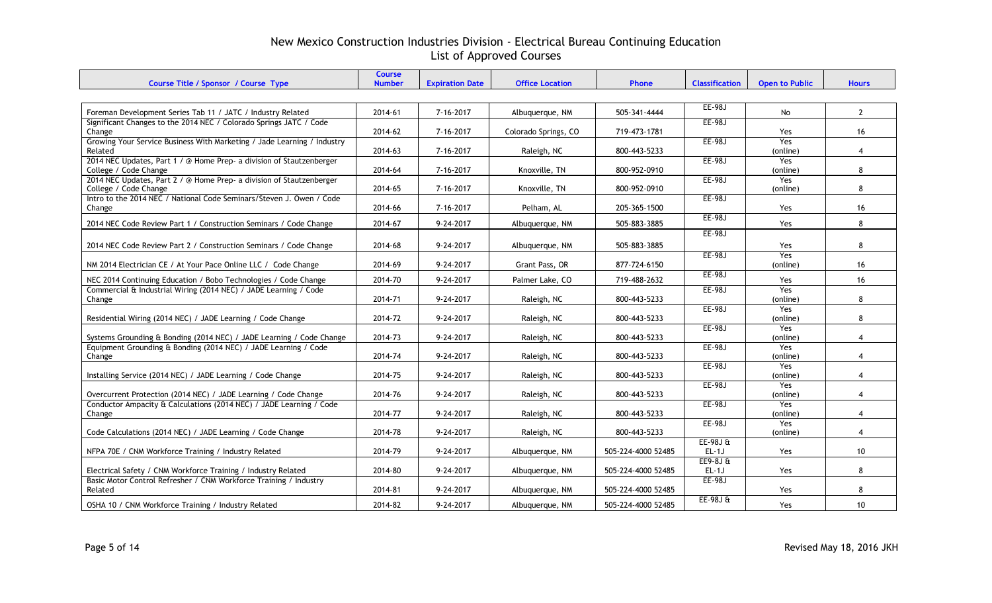| Course Title / Sponsor / Course Type                                                          | Course<br><b>Number</b> | <b>Expiration Date</b> | <b>Office Location</b> | Phone              | <b>Classification</b>  | <b>Open to Public</b>  | <b>Hours</b>    |
|-----------------------------------------------------------------------------------------------|-------------------------|------------------------|------------------------|--------------------|------------------------|------------------------|-----------------|
|                                                                                               |                         |                        |                        |                    |                        |                        |                 |
| Foreman Development Series Tab 11 / JATC / Industry Related                                   | 2014-61                 | 7-16-2017              | Albuquerque, NM        | 505-341-4444       | <b>EE-98J</b>          | No                     | $\mathbf{2}$    |
| Significant Changes to the 2014 NEC / Colorado Springs JATC / Code<br>Change                  | 2014-62                 | 7-16-2017              | Colorado Springs, CO   | 719-473-1781       | <b>EE-98J</b>          | Yes                    | 16              |
| Growing Your Service Business With Marketing / Jade Learning / Industry<br>Related            | 2014-63                 | 7-16-2017              | Raleigh, NC            | 800-443-5233       | EE-98J                 | Yes<br>(online)        | $\overline{4}$  |
| 2014 NEC Updates, Part 1 / @ Home Prep- a division of Stautzenberger<br>College / Code Change | 2014-64                 | 7-16-2017              | Knoxville, TN          | 800-952-0910       | EE-98J                 | Yes<br>(online)        | 8               |
| 2014 NEC Updates, Part 2 / @ Home Prep- a division of Stautzenberger<br>College / Code Change | 2014-65                 | 7-16-2017              | Knoxville, TN          | 800-952-0910       | EE-98J                 | Yes<br>(online)        | 8               |
| Intro to the 2014 NEC / National Code Seminars/Steven J. Owen / Code<br>Change                | 2014-66                 | 7-16-2017              | Pelham, AL             | 205-365-1500       | EE-98J                 | Yes                    | 16              |
| 2014 NEC Code Review Part 1 / Construction Seminars / Code Change                             | 2014-67                 | 9-24-2017              | Albuquerque, NM        | 505-883-3885       | <b>EE-98J</b>          | Yes                    | 8               |
| 2014 NEC Code Review Part 2 / Construction Seminars / Code Change                             | 2014-68                 | 9-24-2017              | Albuquerque, NM        | 505-883-3885       | EE-98J                 | Yes                    | 8               |
| NM 2014 Electrician CE / At Your Pace Online LLC / Code Change                                | 2014-69                 | 9-24-2017              | Grant Pass, OR         | 877-724-6150       | EE-98J                 | Yes<br>(online)        | 16              |
| NEC 2014 Continuing Education / Bobo Technologies / Code Change                               | 2014-70                 | 9-24-2017              | Palmer Lake, CO        | 719-488-2632       | <b>EE-98J</b>          | Yes                    | 16              |
| Commercial & Industrial Wiring (2014 NEC) / JADE Learning / Code<br>Change                    | 2014-71                 | 9-24-2017              | Raleigh, NC            | 800-443-5233       | EE-98J                 | <b>Yes</b><br>(online) | 8               |
| Residential Wiring (2014 NEC) / JADE Learning / Code Change                                   | 2014-72                 | 9-24-2017              | Raleigh, NC            | 800-443-5233       | <b>EE-98J</b>          | <b>Yes</b><br>(online) | 8               |
| Systems Grounding & Bonding (2014 NEC) / JADE Learning / Code Change                          | 2014-73                 | 9-24-2017              | Raleigh, NC            | 800-443-5233       | EE-98J                 | Yes<br>(online)        | $\overline{4}$  |
| Equipment Grounding & Bonding (2014 NEC) / JADE Learning / Code<br>Change                     | 2014-74                 | 9-24-2017              | Raleigh, NC            | 800-443-5233       | <b>EE-98J</b>          | Yes<br>(online)        | $\overline{4}$  |
| Installing Service (2014 NEC) / JADE Learning / Code Change                                   | 2014-75                 | 9-24-2017              | Raleigh, NC            | 800-443-5233       | EE-98J                 | <b>Yes</b><br>(online) | 4               |
| Overcurrent Protection (2014 NEC) / JADE Learning / Code Change                               | 2014-76                 | 9-24-2017              | Raleigh, NC            | 800-443-5233       | EE-98J                 | Yes<br>(online)        | $\overline{4}$  |
| Conductor Ampacity & Calculations (2014 NEC) / JADE Learning / Code<br>Change                 | 2014-77                 | 9-24-2017              | Raleigh, NC            | 800-443-5233       | EE-98J                 | Yes<br>(online)        | $\overline{4}$  |
| Code Calculations (2014 NEC) / JADE Learning / Code Change                                    | 2014-78                 | 9-24-2017              | Raleigh, NC            | 800-443-5233       | EE-98J                 | Yes<br>(online)        | $\overline{4}$  |
| NFPA 70E / CNM Workforce Training / Industry Related                                          | 2014-79                 | 9-24-2017              | Albuquerque, NM        | 505-224-4000 52485 | $EE-98J \&$<br>$EL-1J$ | Yes                    | 10 <sup>°</sup> |
| Electrical Safety / CNM Workforce Training / Industry Related                                 | 2014-80                 | 9-24-2017              | Albuquerque, NM        | 505-224-4000 52485 | $EE9-8JE$<br>$EL-1J$   | <b>Yes</b>             | 8               |
| Basic Motor Control Refresher / CNM Workforce Training / Industry<br>Related                  | 2014-81                 | 9-24-2017              | Albuquerque, NM        | 505-224-4000 52485 | <b>EE-98J</b>          | Yes                    | 8               |
| OSHA 10 / CNM Workforce Training / Industry Related                                           | 2014-82                 | 9-24-2017              | Albuguergue, NM        | 505-224-4000 52485 | $EE-98J0$              | Yes                    | 10              |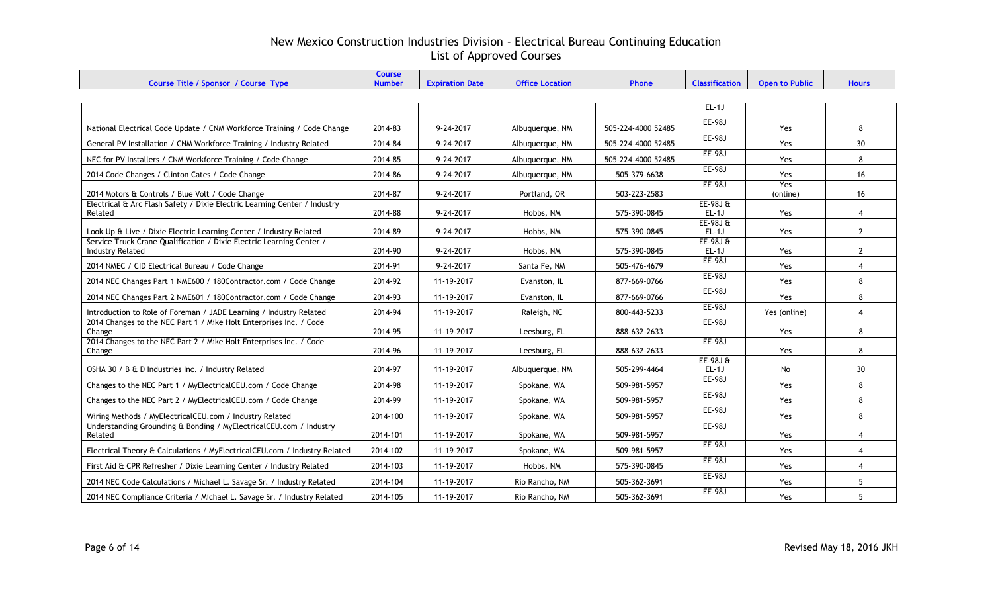| Course Title / Sponsor / Course Type                                                            | <b>Course</b><br><b>Number</b> | <b>Expiration Date</b> | <b>Office Location</b> | Phone              | <b>Classification</b> | <b>Open to Public</b> | <b>Hours</b>    |
|-------------------------------------------------------------------------------------------------|--------------------------------|------------------------|------------------------|--------------------|-----------------------|-----------------------|-----------------|
|                                                                                                 |                                |                        |                        |                    |                       |                       |                 |
|                                                                                                 |                                |                        |                        |                    | $EL-1J$               |                       |                 |
| National Electrical Code Update / CNM Workforce Training / Code Change                          | 2014-83                        | 9-24-2017              | Albuquerque, NM        | 505-224-4000 52485 | <b>EE-98J</b>         | Yes                   | 8               |
| General PV Installation / CNM Workforce Training / Industry Related                             | 2014-84                        | 9-24-2017              | Albuquerque, NM        | 505-224-4000 52485 | <b>EE-98J</b>         | Yes                   | 30 <sup>°</sup> |
| NEC for PV Installers / CNM Workforce Training / Code Change                                    | 2014-85                        | 9-24-2017              | Albuquerque, NM        | 505-224-4000 52485 | <b>EE-98J</b>         | Yes                   | 8               |
| 2014 Code Changes / Clinton Cates / Code Change                                                 | 2014-86                        | 9-24-2017              | Albuquerque, NM        | 505-379-6638       | <b>EE-98J</b>         | Yes                   | 16              |
| 2014 Motors & Controls / Blue Volt / Code Change                                                | 2014-87                        | 9-24-2017              | Portland, OR           | 503-223-2583       | EE-98J                | Yes<br>(online)       | 16              |
| Electrical & Arc Flash Safety / Dixie Electric Learning Center / Industry<br>Related            | 2014-88                        | 9-24-2017              | Hobbs, NM              | 575-390-0845       | $EE-98J$ &<br>$EL-1J$ | Yes                   | $\overline{4}$  |
| Look Up & Live / Dixie Electric Learning Center / Industry Related                              | 2014-89                        | 9-24-2017              | Hobbs, NM              | 575-390-0845       | $EE-98JE$<br>$EL-1J$  | Yes                   | $\mathbf{2}$    |
| Service Truck Crane Qualification / Dixie Electric Learning Center /<br><b>Industry Related</b> | 2014-90                        | 9-24-2017              | Hobbs, NM              | 575-390-0845       | $EE-98JE$<br>$EL-1J$  | Yes                   | $\mathbf{2}$    |
| 2014 NMEC / CID Electrical Bureau / Code Change                                                 | 2014-91                        | 9-24-2017              | Santa Fe, NM           | 505-476-4679       | <b>EE-98J</b>         | Yes                   | $\overline{4}$  |
| 2014 NEC Changes Part 1 NME600 / 180Contractor.com / Code Change                                | 2014-92                        | 11-19-2017             | Evanston, IL           | 877-669-0766       | <b>EE-98J</b>         | Yes                   | 8               |
| 2014 NEC Changes Part 2 NME601 / 180Contractor.com / Code Change                                | 2014-93                        | 11-19-2017             | Evanston, IL           | 877-669-0766       | <b>EE-98J</b>         | Yes                   | 8               |
| Introduction to Role of Foreman / JADE Learning / Industry Related                              | 2014-94                        | 11-19-2017             | Raleigh, NC            | 800-443-5233       | <b>EE-98J</b>         | Yes (online)          | $\overline{4}$  |
| 2014 Changes to the NEC Part 1 / Mike Holt Enterprises Inc. / Code<br>Change                    | 2014-95                        | 11-19-2017             | Leesburg, FL           | 888-632-2633       | <b>EE-98J</b>         | Yes                   | 8               |
| 2014 Changes to the NEC Part 2 / Mike Holt Enterprises Inc. / Code<br>Change                    | 2014-96                        | 11-19-2017             | Leesburg, FL           | 888-632-2633       | <b>EE-98J</b>         | Yes                   | 8               |
| OSHA 30 / B & D Industries Inc. / Industry Related                                              | 2014-97                        | 11-19-2017             | Albuquerque, NM        | 505-299-4464       | $EE-98JE$<br>$EL-1J$  | No                    | 30 <sup>°</sup> |
| Changes to the NEC Part 1 / MyElectricalCEU.com / Code Change                                   | 2014-98                        | 11-19-2017             | Spokane, WA            | 509-981-5957       | <b>EE-98J</b>         | Yes                   | 8               |
| Changes to the NEC Part 2 / MyElectricalCEU.com / Code Change                                   | 2014-99                        | 11-19-2017             | Spokane, WA            | 509-981-5957       | <b>EE-98J</b>         | Yes                   | 8               |
| Wiring Methods / MyElectricalCEU.com / Industry Related                                         | 2014-100                       | 11-19-2017             | Spokane, WA            | 509-981-5957       | <b>EE-98J</b>         | Yes                   | 8               |
| Understanding Grounding & Bonding / MyElectricalCEU.com / Industry<br>Related                   | 2014-101                       | 11-19-2017             | Spokane, WA            | 509-981-5957       | <b>EE-98J</b>         | Yes                   | $\overline{4}$  |
| Electrical Theory & Calculations / MyElectricalCEU.com / Industry Related                       | 2014-102                       | 11-19-2017             | Spokane, WA            | 509-981-5957       | <b>EE-98J</b>         | Yes                   | $\overline{4}$  |
| First Aid & CPR Refresher / Dixie Learning Center / Industry Related                            | 2014-103                       | 11-19-2017             | Hobbs, NM              | 575-390-0845       | <b>EE-98J</b>         | Yes                   | 4               |
| 2014 NEC Code Calculations / Michael L. Savage Sr. / Industry Related                           | 2014-104                       | 11-19-2017             | Rio Rancho, NM         | 505-362-3691       | <b>EE-98J</b>         | Yes                   | 5               |
| 2014 NEC Compliance Criteria / Michael L. Savage Sr. / Industry Related                         | 2014-105                       | 11-19-2017             | Rio Rancho, NM         | 505-362-3691       | <b>EE-98J</b>         | Yes                   | 5               |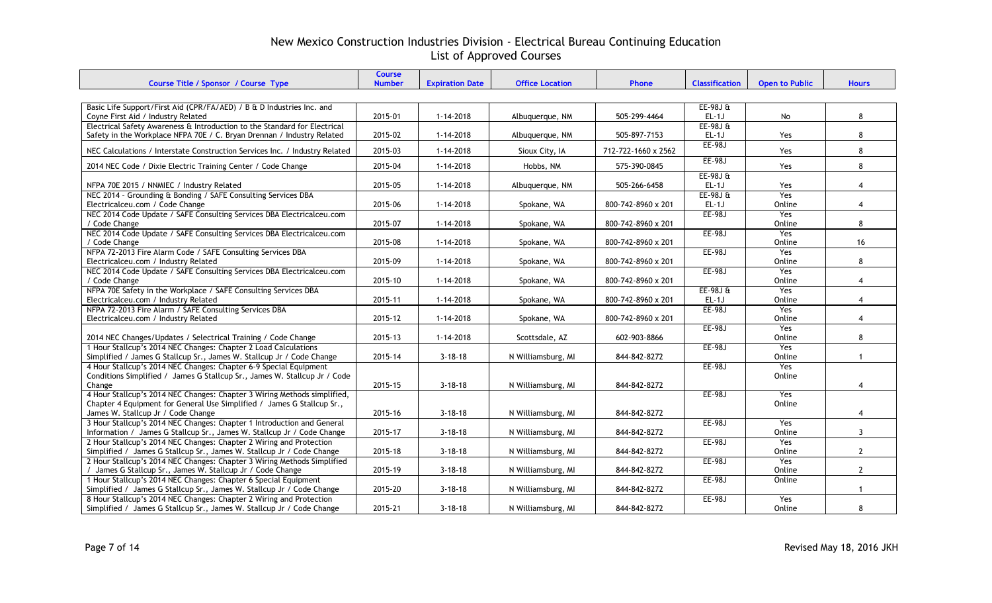| Course Title / Sponsor / Course Type                                                                         | <b>Course</b><br><b>Number</b> | <b>Expiration Date</b> | <b>Office Location</b> | Phone               | <b>Classification</b> | <b>Open to Public</b> | <b>Hours</b>   |
|--------------------------------------------------------------------------------------------------------------|--------------------------------|------------------------|------------------------|---------------------|-----------------------|-----------------------|----------------|
|                                                                                                              |                                |                        |                        |                     |                       |                       |                |
| Basic Life Support/First Aid (CPR/FA/AED) / B & D Industries Inc. and                                        |                                |                        |                        |                     | $EE-98J0$             |                       |                |
| Coyne First Aid / Industry Related                                                                           | 2015-01                        | 1-14-2018              | Albuquerque, NM        | 505-299-4464        | $EL-1J$               | No                    | 8              |
| Electrical Safety Awareness & Introduction to the Standard for Electrical                                    |                                |                        |                        |                     | $EE-98JE$             |                       |                |
| Safety in the Workplace NFPA 70E / C. Bryan Drennan / Industry Related                                       | 2015-02                        | 1-14-2018              | Albuquerque, NM        | 505-897-7153        | $EL-1J$               | Yes                   | 8              |
|                                                                                                              |                                |                        |                        |                     | <b>EE-98J</b>         |                       |                |
| NEC Calculations / Interstate Construction Services Inc. / Industry Related                                  | 2015-03                        | $1 - 14 - 2018$        | Sioux City, IA         | 712-722-1660 x 2562 | <b>EE-98J</b>         | Yes                   | 8              |
| 2014 NEC Code / Dixie Electric Training Center / Code Change                                                 | 2015-04                        | $1 - 14 - 2018$        | Hobbs, NM              | 575-390-0845        |                       | Yes                   | 8              |
|                                                                                                              |                                |                        |                        |                     | $EE-98JE$             |                       |                |
| NFPA 70E 2015 / NNMIEC / Industry Related                                                                    | 2015-05                        | 1-14-2018              | Albuquerque, NM        | 505-266-6458        | $EL-1J$               | Yes                   | $\overline{4}$ |
| NEC 2014 - Grounding & Bonding / SAFE Consulting Services DBA                                                |                                |                        |                        |                     | $EE-98JE$             | Yes                   |                |
| Electricalceu.com / Code Change                                                                              | 2015-06                        | $1 - 14 - 2018$        | Spokane, WA            | 800-742-8960 x 201  | $EL-1J$               | Online                | $\overline{4}$ |
| NEC 2014 Code Update / SAFE Consulting Services DBA Electricalceu.com<br>/ Code Change                       | 2015-07                        | 1-14-2018              | Spokane, WA            | 800-742-8960 x 201  | <b>EE-98J</b>         | Yes<br>Online         | 8              |
| NEC 2014 Code Update / SAFE Consulting Services DBA Electricalceu.com                                        |                                |                        |                        |                     | <b>EE-98J</b>         | Yes                   |                |
| / Code Change                                                                                                | 2015-08                        | 1-14-2018              | Spokane, WA            | 800-742-8960 x 201  |                       | Online                | 16             |
| NFPA 72-2013 Fire Alarm Code / SAFE Consulting Services DBA                                                  |                                |                        |                        |                     | <b>EE-98J</b>         | Yes                   |                |
| Electricalceu.com / Industry Related                                                                         | 2015-09                        | $1 - 14 - 2018$        | Spokane, WA            | 800-742-8960 x 201  |                       | Online                | 8              |
| NEC 2014 Code Update / SAFE Consulting Services DBA Electricalceu.com                                        |                                |                        |                        |                     | <b>EE-98J</b>         | Yes                   |                |
| / Code Change                                                                                                | 2015-10                        | $1 - 14 - 2018$        | Spokane, WA            | 800-742-8960 x 201  |                       | Online                | $\overline{4}$ |
| NFPA 70E Safety in the Workplace / SAFE Consulting Services DBA                                              |                                |                        |                        |                     | $EE-98JE$             | Yes                   |                |
| Electricalceu.com / Industry Related                                                                         | 2015-11                        | $1 - 14 - 2018$        | Spokane, WA            | 800-742-8960 x 201  | $EL-1J$               | Online                | 4              |
| NFPA 72-2013 Fire Alarm / SAFE Consulting Services DBA                                                       |                                |                        |                        |                     | <b>EE-98J</b>         | Yes                   |                |
| Electricalceu.com / Industry Related                                                                         | 2015-12                        | 1-14-2018              | Spokane, WA            | 800-742-8960 x 201  | <b>EE-98J</b>         | Online<br>Yes         | $\overline{4}$ |
| 2014 NEC Changes/Updates / Selectrical Training / Code Change                                                | 2015-13                        | 1-14-2018              | Scottsdale, AZ         | 602-903-8866        |                       | Online                | 8              |
| 1 Hour Stallcup's 2014 NEC Changes: Chapter 2 Load Calculations                                              |                                |                        |                        |                     | <b>EE-98J</b>         | Yes                   |                |
| Simplified / James G Stallcup Sr., James W. Stallcup Jr / Code Change                                        | 2015-14                        | $3 - 18 - 18$          | N Williamsburg, MI     | 844-842-8272        |                       | Online                | $\overline{1}$ |
| 4 Hour Stallcup's 2014 NEC Changes: Chapter 6-9 Special Equipment                                            |                                |                        |                        |                     | <b>EE-98J</b>         | Yes                   |                |
| Conditions Simplified / James G Stallcup Sr., James W. Stallcup Jr / Code                                    |                                |                        |                        |                     |                       | Online                |                |
| Change                                                                                                       | 2015-15                        | $3 - 18 - 18$          | N Williamsburg, MI     | 844-842-8272        |                       |                       | 4              |
| 4 Hour Stallcup's 2014 NEC Changes: Chapter 3 Wiring Methods simplified,                                     |                                |                        |                        |                     | <b>EE-98J</b>         | Yes                   |                |
| Chapter 4 Equipment for General Use Simplified / James G Stallcup Sr.,                                       |                                |                        |                        |                     |                       | Online                |                |
| James W. Stallcup Jr / Code Change<br>3 Hour Stallcup's 2014 NEC Changes: Chapter 1 Introduction and General | 2015-16                        | $3 - 18 - 18$          | N Williamsburg, MI     | 844-842-8272        | <b>EE-98J</b>         |                       | $\overline{4}$ |
| Information / James G Stallcup Sr., James W. Stallcup Jr / Code Change                                       | 2015-17                        | $3 - 18 - 18$          | N Williamsburg, MI     | 844-842-8272        |                       | Yes<br>Online         | $\mathbf{3}$   |
| 2 Hour Stallcup's 2014 NEC Changes: Chapter 2 Wiring and Protection                                          |                                |                        |                        |                     | <b>EE-98J</b>         | Yes                   |                |
| Simplified / James G Stallcup Sr., James W. Stallcup Jr / Code Change                                        | 2015-18                        | $3 - 18 - 18$          | N Williamsburg, MI     | 844-842-8272        |                       | Online                | $\mathbf{2}$   |
| 2 Hour Stallcup's 2014 NEC Changes: Chapter 3 Wiring Methods Simplified                                      |                                |                        |                        |                     | <b>EE-98J</b>         | Yes                   |                |
| / James G Stallcup Sr., James W. Stallcup Jr / Code Change                                                   | 2015-19                        | $3 - 18 - 18$          | N Williamsburg, MI     | 844-842-8272        |                       | Online                | $\mathbf{2}$   |
| 1 Hour Stallcup's 2014 NEC Changes: Chapter 6 Special Equipment                                              |                                |                        |                        |                     | <b>EE-98J</b>         | Online                |                |
| Simplified / James G Stallcup Sr., James W. Stallcup Jr / Code Change                                        | 2015-20                        | $3 - 18 - 18$          | N Williamsburg, MI     | 844-842-8272        |                       |                       | $\mathbf{1}$   |
| 8 Hour Stallcup's 2014 NEC Changes: Chapter 2 Wiring and Protection                                          |                                |                        |                        |                     | <b>EE-98J</b>         | Yes                   |                |
| Simplified / James G Stallcup Sr., James W. Stallcup Jr / Code Change                                        | 2015-21                        | $3 - 18 - 18$          | N Williamsburg, MI     | 844-842-8272        |                       | Online                | 8              |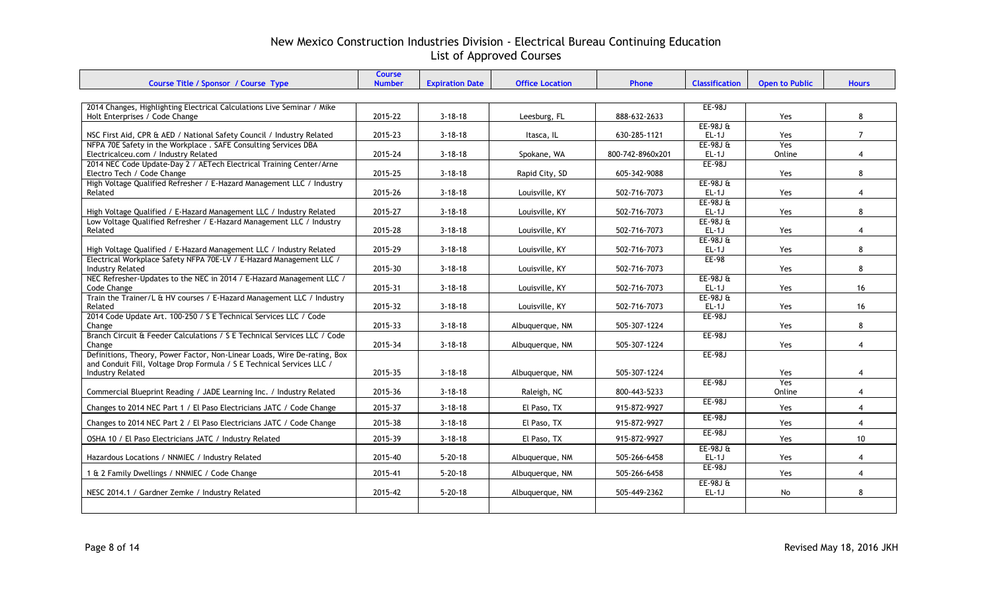| 2014 Changes, Highlighting Electrical Calculations Live Seminar / Mike<br><b>EE-98J</b><br>2015-22<br>$3 - 18 - 18$<br>888-632-2633<br>8<br>Holt Enterprises / Code Change<br>Leesburg, FL<br>Yes<br>$EE-98Jft$<br>$EL-1J$<br>2015-23<br>$3 - 18 - 18$<br>$\overline{7}$<br>NSC First Aid, CPR & AED / National Safety Council / Industry Related<br>Itasca, IL<br>630-285-1121<br>Yes<br>NFPA 70E Safety in the Workplace . SAFE Consulting Services DBA<br>EE-98J $\text{ft}$<br><b>Yes</b><br>Electricalceu.com / Industry Related<br>2015-24<br>$3 - 18 - 18$<br>800-742-8960x201<br>$EL-1J$<br>Spokane, WA<br>Online<br>$\overline{4}$<br>2014 NEC Code Update-Day 2 / AETech Electrical Training Center/Arne<br>EE-98J<br>8<br>Electro Tech / Code Change<br>2015-25<br>$3 - 18 - 18$<br>Rapid City, SD<br>605-342-9088<br>Yes<br>High Voltage Qualified Refresher / E-Hazard Management LLC / Industry<br>$EE-98JE$<br>2015-26<br>$3 - 18 - 18$<br>Louisville, KY<br>502-716-7073<br>$EL-1J$<br>Related<br>Yes<br>$\overline{4}$<br>$EE-98JE$<br>$EL-1J$<br>8<br>High Voltage Qualified / E-Hazard Management LLC / Industry Related<br>2015-27<br>$3 - 18 - 18$<br>Louisville, KY<br>502-716-7073<br>Yes<br>Low Voltage Qualified Refresher / E-Hazard Management LLC / Industry<br>$EE-98Jft$<br>2015-28<br>Related<br>$3 - 18 - 18$<br>Louisville, KY<br>502-716-7073<br>$EL-1J$<br><b>Yes</b><br>$\overline{4}$<br>EE-98J $\text{ft}$<br>2015-29<br>8<br>High Voltage Qualified / E-Hazard Management LLC / Industry Related<br>$3 - 18 - 18$<br>Louisville, KY<br>502-716-7073<br>$EL-1J$<br>Yes<br>Electrical Workplace Safety NFPA 70E-LV / E-Hazard Management LLC /<br>EE-98<br>2015-30<br>8<br>$3 - 18 - 18$<br>Louisville, KY<br>502-716-7073<br>Yes<br><b>Industry Related</b><br>NEC Refresher-Updates to the NEC in 2014 / E-Hazard Management LLC /<br>EE-98J $\text{ft}$<br>2015-31<br>$EL-1J$<br>16<br>$3 - 18 - 18$<br>502-716-7073<br>Code Change<br>Louisville, KY<br>Yes<br>Train the Trainer/L & HV courses / E-Hazard Management LLC / Industry<br>$EE-98Jft$<br>2015-32<br>$3 - 18 - 18$<br>Louisville, KY<br>502-716-7073<br>16<br>Related<br>EL-1J<br>Yes<br>2014 Code Update Art. 100-250 / S E Technical Services LLC / Code<br><b>EE-98J</b><br>2015-33<br>$3 - 18 - 18$<br>505-307-1224<br>8<br>Change<br>Albuquerque, NM<br>Yes<br>Branch Circuit & Feeder Calculations / S E Technical Services LLC / Code<br>EE-98J<br>2015-34<br>$3 - 18 - 18$<br>505-307-1224<br>Yes<br>$\overline{4}$<br>Change<br>Albuquerque, NM<br>Definitions, Theory, Power Factor, Non-Linear Loads, Wire De-rating, Box<br><b>EE-98J</b><br>and Conduit Fill, Voltage Drop Formula / S E Technical Services LLC /<br>2015-35<br><b>Industry Related</b><br>$3 - 18 - 18$<br>Albuquerque, NM<br>505-307-1224<br>Yes<br>$\overline{4}$<br><b>EE-98J</b><br>Yes<br>2015-36<br>$3 - 18 - 18$<br>Commercial Blueprint Reading / JADE Learning Inc. / Industry Related<br>Raleigh, NC<br>800-443-5233<br>Online<br>$\overline{4}$<br>EE-98J<br>2015-37<br>Changes to 2014 NEC Part 1 / El Paso Electricians JATC / Code Change<br>$3 - 18 - 18$<br>El Paso. TX<br>915-872-9927<br>Yes<br>$\overline{4}$<br><b>EE-98J</b><br>Changes to 2014 NEC Part 2 / El Paso Electricians JATC / Code Change<br>2015-38<br>$3 - 18 - 18$<br>El Paso, TX<br>915-872-9927<br>Yes<br>$\overline{4}$<br><b>EE-98J</b><br>OSHA 10 / El Paso Electricians JATC / Industry Related<br>2015-39<br>$3 - 18 - 18$<br>915-872-9927<br>10<br>El Paso, TX<br>Yes<br>$EE-98JE$<br>2015-40<br>Hazardous Locations / NNMIEC / Industry Related<br>$5 - 20 - 18$<br>Albuquerque, NM<br>505-266-6458<br>$EL-1J$<br>Yes<br>$\overline{4}$<br>EE-98J<br>1 & 2 Family Dwellings / NNMIEC / Code Change<br>2015-41<br>$5 - 20 - 18$<br>505-266-6458<br>$\overline{4}$<br>Albuquerque, NM<br>Yes<br>$EE-98J0$ | Course Title / Sponsor / Course Type | <b>Course</b><br><b>Number</b> | <b>Expiration Date</b> | <b>Office Location</b> | <b>Phone</b> | <b>Classification</b> | <b>Open to Public</b> | <b>Hours</b> |
|----------------------------------------------------------------------------------------------------------------------------------------------------------------------------------------------------------------------------------------------------------------------------------------------------------------------------------------------------------------------------------------------------------------------------------------------------------------------------------------------------------------------------------------------------------------------------------------------------------------------------------------------------------------------------------------------------------------------------------------------------------------------------------------------------------------------------------------------------------------------------------------------------------------------------------------------------------------------------------------------------------------------------------------------------------------------------------------------------------------------------------------------------------------------------------------------------------------------------------------------------------------------------------------------------------------------------------------------------------------------------------------------------------------------------------------------------------------------------------------------------------------------------------------------------------------------------------------------------------------------------------------------------------------------------------------------------------------------------------------------------------------------------------------------------------------------------------------------------------------------------------------------------------------------------------------------------------------------------------------------------------------------------------------------------------------------------------------------------------------------------------------------------------------------------------------------------------------------------------------------------------------------------------------------------------------------------------------------------------------------------------------------------------------------------------------------------------------------------------------------------------------------------------------------------------------------------------------------------------------------------------------------------------------------------------------------------------------------------------------------------------------------------------------------------------------------------------------------------------------------------------------------------------------------------------------------------------------------------------------------------------------------------------------------------------------------------------------------------------------------------------------------------------------------------------------------------------------------------------------------------------------------------------------------------------------------------------------------------------------------------------------------------------------------------------------------------------------------------------------------------------------------------------------------------------------------------------------------------------------------------------------------------------------------------------------------------------------------------------------------------------------------------------------------------------------------------------------------------------------------------------------|--------------------------------------|--------------------------------|------------------------|------------------------|--------------|-----------------------|-----------------------|--------------|
|                                                                                                                                                                                                                                                                                                                                                                                                                                                                                                                                                                                                                                                                                                                                                                                                                                                                                                                                                                                                                                                                                                                                                                                                                                                                                                                                                                                                                                                                                                                                                                                                                                                                                                                                                                                                                                                                                                                                                                                                                                                                                                                                                                                                                                                                                                                                                                                                                                                                                                                                                                                                                                                                                                                                                                                                                                                                                                                                                                                                                                                                                                                                                                                                                                                                                                                                                                                                                                                                                                                                                                                                                                                                                                                                                                                                                                                                                        |                                      |                                |                        |                        |              |                       |                       |              |
|                                                                                                                                                                                                                                                                                                                                                                                                                                                                                                                                                                                                                                                                                                                                                                                                                                                                                                                                                                                                                                                                                                                                                                                                                                                                                                                                                                                                                                                                                                                                                                                                                                                                                                                                                                                                                                                                                                                                                                                                                                                                                                                                                                                                                                                                                                                                                                                                                                                                                                                                                                                                                                                                                                                                                                                                                                                                                                                                                                                                                                                                                                                                                                                                                                                                                                                                                                                                                                                                                                                                                                                                                                                                                                                                                                                                                                                                                        |                                      |                                |                        |                        |              |                       |                       |              |
|                                                                                                                                                                                                                                                                                                                                                                                                                                                                                                                                                                                                                                                                                                                                                                                                                                                                                                                                                                                                                                                                                                                                                                                                                                                                                                                                                                                                                                                                                                                                                                                                                                                                                                                                                                                                                                                                                                                                                                                                                                                                                                                                                                                                                                                                                                                                                                                                                                                                                                                                                                                                                                                                                                                                                                                                                                                                                                                                                                                                                                                                                                                                                                                                                                                                                                                                                                                                                                                                                                                                                                                                                                                                                                                                                                                                                                                                                        |                                      |                                |                        |                        |              |                       |                       |              |
|                                                                                                                                                                                                                                                                                                                                                                                                                                                                                                                                                                                                                                                                                                                                                                                                                                                                                                                                                                                                                                                                                                                                                                                                                                                                                                                                                                                                                                                                                                                                                                                                                                                                                                                                                                                                                                                                                                                                                                                                                                                                                                                                                                                                                                                                                                                                                                                                                                                                                                                                                                                                                                                                                                                                                                                                                                                                                                                                                                                                                                                                                                                                                                                                                                                                                                                                                                                                                                                                                                                                                                                                                                                                                                                                                                                                                                                                                        |                                      |                                |                        |                        |              |                       |                       |              |
|                                                                                                                                                                                                                                                                                                                                                                                                                                                                                                                                                                                                                                                                                                                                                                                                                                                                                                                                                                                                                                                                                                                                                                                                                                                                                                                                                                                                                                                                                                                                                                                                                                                                                                                                                                                                                                                                                                                                                                                                                                                                                                                                                                                                                                                                                                                                                                                                                                                                                                                                                                                                                                                                                                                                                                                                                                                                                                                                                                                                                                                                                                                                                                                                                                                                                                                                                                                                                                                                                                                                                                                                                                                                                                                                                                                                                                                                                        |                                      |                                |                        |                        |              |                       |                       |              |
|                                                                                                                                                                                                                                                                                                                                                                                                                                                                                                                                                                                                                                                                                                                                                                                                                                                                                                                                                                                                                                                                                                                                                                                                                                                                                                                                                                                                                                                                                                                                                                                                                                                                                                                                                                                                                                                                                                                                                                                                                                                                                                                                                                                                                                                                                                                                                                                                                                                                                                                                                                                                                                                                                                                                                                                                                                                                                                                                                                                                                                                                                                                                                                                                                                                                                                                                                                                                                                                                                                                                                                                                                                                                                                                                                                                                                                                                                        |                                      |                                |                        |                        |              |                       |                       |              |
|                                                                                                                                                                                                                                                                                                                                                                                                                                                                                                                                                                                                                                                                                                                                                                                                                                                                                                                                                                                                                                                                                                                                                                                                                                                                                                                                                                                                                                                                                                                                                                                                                                                                                                                                                                                                                                                                                                                                                                                                                                                                                                                                                                                                                                                                                                                                                                                                                                                                                                                                                                                                                                                                                                                                                                                                                                                                                                                                                                                                                                                                                                                                                                                                                                                                                                                                                                                                                                                                                                                                                                                                                                                                                                                                                                                                                                                                                        |                                      |                                |                        |                        |              |                       |                       |              |
|                                                                                                                                                                                                                                                                                                                                                                                                                                                                                                                                                                                                                                                                                                                                                                                                                                                                                                                                                                                                                                                                                                                                                                                                                                                                                                                                                                                                                                                                                                                                                                                                                                                                                                                                                                                                                                                                                                                                                                                                                                                                                                                                                                                                                                                                                                                                                                                                                                                                                                                                                                                                                                                                                                                                                                                                                                                                                                                                                                                                                                                                                                                                                                                                                                                                                                                                                                                                                                                                                                                                                                                                                                                                                                                                                                                                                                                                                        |                                      |                                |                        |                        |              |                       |                       |              |
|                                                                                                                                                                                                                                                                                                                                                                                                                                                                                                                                                                                                                                                                                                                                                                                                                                                                                                                                                                                                                                                                                                                                                                                                                                                                                                                                                                                                                                                                                                                                                                                                                                                                                                                                                                                                                                                                                                                                                                                                                                                                                                                                                                                                                                                                                                                                                                                                                                                                                                                                                                                                                                                                                                                                                                                                                                                                                                                                                                                                                                                                                                                                                                                                                                                                                                                                                                                                                                                                                                                                                                                                                                                                                                                                                                                                                                                                                        |                                      |                                |                        |                        |              |                       |                       |              |
|                                                                                                                                                                                                                                                                                                                                                                                                                                                                                                                                                                                                                                                                                                                                                                                                                                                                                                                                                                                                                                                                                                                                                                                                                                                                                                                                                                                                                                                                                                                                                                                                                                                                                                                                                                                                                                                                                                                                                                                                                                                                                                                                                                                                                                                                                                                                                                                                                                                                                                                                                                                                                                                                                                                                                                                                                                                                                                                                                                                                                                                                                                                                                                                                                                                                                                                                                                                                                                                                                                                                                                                                                                                                                                                                                                                                                                                                                        |                                      |                                |                        |                        |              |                       |                       |              |
|                                                                                                                                                                                                                                                                                                                                                                                                                                                                                                                                                                                                                                                                                                                                                                                                                                                                                                                                                                                                                                                                                                                                                                                                                                                                                                                                                                                                                                                                                                                                                                                                                                                                                                                                                                                                                                                                                                                                                                                                                                                                                                                                                                                                                                                                                                                                                                                                                                                                                                                                                                                                                                                                                                                                                                                                                                                                                                                                                                                                                                                                                                                                                                                                                                                                                                                                                                                                                                                                                                                                                                                                                                                                                                                                                                                                                                                                                        |                                      |                                |                        |                        |              |                       |                       |              |
|                                                                                                                                                                                                                                                                                                                                                                                                                                                                                                                                                                                                                                                                                                                                                                                                                                                                                                                                                                                                                                                                                                                                                                                                                                                                                                                                                                                                                                                                                                                                                                                                                                                                                                                                                                                                                                                                                                                                                                                                                                                                                                                                                                                                                                                                                                                                                                                                                                                                                                                                                                                                                                                                                                                                                                                                                                                                                                                                                                                                                                                                                                                                                                                                                                                                                                                                                                                                                                                                                                                                                                                                                                                                                                                                                                                                                                                                                        |                                      |                                |                        |                        |              |                       |                       |              |
|                                                                                                                                                                                                                                                                                                                                                                                                                                                                                                                                                                                                                                                                                                                                                                                                                                                                                                                                                                                                                                                                                                                                                                                                                                                                                                                                                                                                                                                                                                                                                                                                                                                                                                                                                                                                                                                                                                                                                                                                                                                                                                                                                                                                                                                                                                                                                                                                                                                                                                                                                                                                                                                                                                                                                                                                                                                                                                                                                                                                                                                                                                                                                                                                                                                                                                                                                                                                                                                                                                                                                                                                                                                                                                                                                                                                                                                                                        |                                      |                                |                        |                        |              |                       |                       |              |
|                                                                                                                                                                                                                                                                                                                                                                                                                                                                                                                                                                                                                                                                                                                                                                                                                                                                                                                                                                                                                                                                                                                                                                                                                                                                                                                                                                                                                                                                                                                                                                                                                                                                                                                                                                                                                                                                                                                                                                                                                                                                                                                                                                                                                                                                                                                                                                                                                                                                                                                                                                                                                                                                                                                                                                                                                                                                                                                                                                                                                                                                                                                                                                                                                                                                                                                                                                                                                                                                                                                                                                                                                                                                                                                                                                                                                                                                                        |                                      |                                |                        |                        |              |                       |                       |              |
|                                                                                                                                                                                                                                                                                                                                                                                                                                                                                                                                                                                                                                                                                                                                                                                                                                                                                                                                                                                                                                                                                                                                                                                                                                                                                                                                                                                                                                                                                                                                                                                                                                                                                                                                                                                                                                                                                                                                                                                                                                                                                                                                                                                                                                                                                                                                                                                                                                                                                                                                                                                                                                                                                                                                                                                                                                                                                                                                                                                                                                                                                                                                                                                                                                                                                                                                                                                                                                                                                                                                                                                                                                                                                                                                                                                                                                                                                        |                                      |                                |                        |                        |              |                       |                       |              |
|                                                                                                                                                                                                                                                                                                                                                                                                                                                                                                                                                                                                                                                                                                                                                                                                                                                                                                                                                                                                                                                                                                                                                                                                                                                                                                                                                                                                                                                                                                                                                                                                                                                                                                                                                                                                                                                                                                                                                                                                                                                                                                                                                                                                                                                                                                                                                                                                                                                                                                                                                                                                                                                                                                                                                                                                                                                                                                                                                                                                                                                                                                                                                                                                                                                                                                                                                                                                                                                                                                                                                                                                                                                                                                                                                                                                                                                                                        |                                      |                                |                        |                        |              |                       |                       |              |
|                                                                                                                                                                                                                                                                                                                                                                                                                                                                                                                                                                                                                                                                                                                                                                                                                                                                                                                                                                                                                                                                                                                                                                                                                                                                                                                                                                                                                                                                                                                                                                                                                                                                                                                                                                                                                                                                                                                                                                                                                                                                                                                                                                                                                                                                                                                                                                                                                                                                                                                                                                                                                                                                                                                                                                                                                                                                                                                                                                                                                                                                                                                                                                                                                                                                                                                                                                                                                                                                                                                                                                                                                                                                                                                                                                                                                                                                                        |                                      |                                |                        |                        |              |                       |                       |              |
|                                                                                                                                                                                                                                                                                                                                                                                                                                                                                                                                                                                                                                                                                                                                                                                                                                                                                                                                                                                                                                                                                                                                                                                                                                                                                                                                                                                                                                                                                                                                                                                                                                                                                                                                                                                                                                                                                                                                                                                                                                                                                                                                                                                                                                                                                                                                                                                                                                                                                                                                                                                                                                                                                                                                                                                                                                                                                                                                                                                                                                                                                                                                                                                                                                                                                                                                                                                                                                                                                                                                                                                                                                                                                                                                                                                                                                                                                        |                                      |                                |                        |                        |              |                       |                       |              |
|                                                                                                                                                                                                                                                                                                                                                                                                                                                                                                                                                                                                                                                                                                                                                                                                                                                                                                                                                                                                                                                                                                                                                                                                                                                                                                                                                                                                                                                                                                                                                                                                                                                                                                                                                                                                                                                                                                                                                                                                                                                                                                                                                                                                                                                                                                                                                                                                                                                                                                                                                                                                                                                                                                                                                                                                                                                                                                                                                                                                                                                                                                                                                                                                                                                                                                                                                                                                                                                                                                                                                                                                                                                                                                                                                                                                                                                                                        |                                      |                                |                        |                        |              |                       |                       |              |
|                                                                                                                                                                                                                                                                                                                                                                                                                                                                                                                                                                                                                                                                                                                                                                                                                                                                                                                                                                                                                                                                                                                                                                                                                                                                                                                                                                                                                                                                                                                                                                                                                                                                                                                                                                                                                                                                                                                                                                                                                                                                                                                                                                                                                                                                                                                                                                                                                                                                                                                                                                                                                                                                                                                                                                                                                                                                                                                                                                                                                                                                                                                                                                                                                                                                                                                                                                                                                                                                                                                                                                                                                                                                                                                                                                                                                                                                                        |                                      |                                |                        |                        |              |                       |                       |              |
|                                                                                                                                                                                                                                                                                                                                                                                                                                                                                                                                                                                                                                                                                                                                                                                                                                                                                                                                                                                                                                                                                                                                                                                                                                                                                                                                                                                                                                                                                                                                                                                                                                                                                                                                                                                                                                                                                                                                                                                                                                                                                                                                                                                                                                                                                                                                                                                                                                                                                                                                                                                                                                                                                                                                                                                                                                                                                                                                                                                                                                                                                                                                                                                                                                                                                                                                                                                                                                                                                                                                                                                                                                                                                                                                                                                                                                                                                        |                                      |                                |                        |                        |              |                       |                       |              |
|                                                                                                                                                                                                                                                                                                                                                                                                                                                                                                                                                                                                                                                                                                                                                                                                                                                                                                                                                                                                                                                                                                                                                                                                                                                                                                                                                                                                                                                                                                                                                                                                                                                                                                                                                                                                                                                                                                                                                                                                                                                                                                                                                                                                                                                                                                                                                                                                                                                                                                                                                                                                                                                                                                                                                                                                                                                                                                                                                                                                                                                                                                                                                                                                                                                                                                                                                                                                                                                                                                                                                                                                                                                                                                                                                                                                                                                                                        |                                      |                                |                        |                        |              |                       |                       |              |
|                                                                                                                                                                                                                                                                                                                                                                                                                                                                                                                                                                                                                                                                                                                                                                                                                                                                                                                                                                                                                                                                                                                                                                                                                                                                                                                                                                                                                                                                                                                                                                                                                                                                                                                                                                                                                                                                                                                                                                                                                                                                                                                                                                                                                                                                                                                                                                                                                                                                                                                                                                                                                                                                                                                                                                                                                                                                                                                                                                                                                                                                                                                                                                                                                                                                                                                                                                                                                                                                                                                                                                                                                                                                                                                                                                                                                                                                                        |                                      |                                |                        |                        |              |                       |                       |              |
|                                                                                                                                                                                                                                                                                                                                                                                                                                                                                                                                                                                                                                                                                                                                                                                                                                                                                                                                                                                                                                                                                                                                                                                                                                                                                                                                                                                                                                                                                                                                                                                                                                                                                                                                                                                                                                                                                                                                                                                                                                                                                                                                                                                                                                                                                                                                                                                                                                                                                                                                                                                                                                                                                                                                                                                                                                                                                                                                                                                                                                                                                                                                                                                                                                                                                                                                                                                                                                                                                                                                                                                                                                                                                                                                                                                                                                                                                        |                                      |                                |                        |                        |              |                       |                       |              |
|                                                                                                                                                                                                                                                                                                                                                                                                                                                                                                                                                                                                                                                                                                                                                                                                                                                                                                                                                                                                                                                                                                                                                                                                                                                                                                                                                                                                                                                                                                                                                                                                                                                                                                                                                                                                                                                                                                                                                                                                                                                                                                                                                                                                                                                                                                                                                                                                                                                                                                                                                                                                                                                                                                                                                                                                                                                                                                                                                                                                                                                                                                                                                                                                                                                                                                                                                                                                                                                                                                                                                                                                                                                                                                                                                                                                                                                                                        |                                      |                                |                        |                        |              |                       |                       |              |
|                                                                                                                                                                                                                                                                                                                                                                                                                                                                                                                                                                                                                                                                                                                                                                                                                                                                                                                                                                                                                                                                                                                                                                                                                                                                                                                                                                                                                                                                                                                                                                                                                                                                                                                                                                                                                                                                                                                                                                                                                                                                                                                                                                                                                                                                                                                                                                                                                                                                                                                                                                                                                                                                                                                                                                                                                                                                                                                                                                                                                                                                                                                                                                                                                                                                                                                                                                                                                                                                                                                                                                                                                                                                                                                                                                                                                                                                                        |                                      |                                |                        |                        |              |                       |                       |              |
|                                                                                                                                                                                                                                                                                                                                                                                                                                                                                                                                                                                                                                                                                                                                                                                                                                                                                                                                                                                                                                                                                                                                                                                                                                                                                                                                                                                                                                                                                                                                                                                                                                                                                                                                                                                                                                                                                                                                                                                                                                                                                                                                                                                                                                                                                                                                                                                                                                                                                                                                                                                                                                                                                                                                                                                                                                                                                                                                                                                                                                                                                                                                                                                                                                                                                                                                                                                                                                                                                                                                                                                                                                                                                                                                                                                                                                                                                        |                                      |                                |                        |                        |              |                       |                       |              |
|                                                                                                                                                                                                                                                                                                                                                                                                                                                                                                                                                                                                                                                                                                                                                                                                                                                                                                                                                                                                                                                                                                                                                                                                                                                                                                                                                                                                                                                                                                                                                                                                                                                                                                                                                                                                                                                                                                                                                                                                                                                                                                                                                                                                                                                                                                                                                                                                                                                                                                                                                                                                                                                                                                                                                                                                                                                                                                                                                                                                                                                                                                                                                                                                                                                                                                                                                                                                                                                                                                                                                                                                                                                                                                                                                                                                                                                                                        |                                      |                                |                        |                        |              |                       |                       |              |
|                                                                                                                                                                                                                                                                                                                                                                                                                                                                                                                                                                                                                                                                                                                                                                                                                                                                                                                                                                                                                                                                                                                                                                                                                                                                                                                                                                                                                                                                                                                                                                                                                                                                                                                                                                                                                                                                                                                                                                                                                                                                                                                                                                                                                                                                                                                                                                                                                                                                                                                                                                                                                                                                                                                                                                                                                                                                                                                                                                                                                                                                                                                                                                                                                                                                                                                                                                                                                                                                                                                                                                                                                                                                                                                                                                                                                                                                                        |                                      |                                |                        |                        |              |                       |                       |              |
|                                                                                                                                                                                                                                                                                                                                                                                                                                                                                                                                                                                                                                                                                                                                                                                                                                                                                                                                                                                                                                                                                                                                                                                                                                                                                                                                                                                                                                                                                                                                                                                                                                                                                                                                                                                                                                                                                                                                                                                                                                                                                                                                                                                                                                                                                                                                                                                                                                                                                                                                                                                                                                                                                                                                                                                                                                                                                                                                                                                                                                                                                                                                                                                                                                                                                                                                                                                                                                                                                                                                                                                                                                                                                                                                                                                                                                                                                        |                                      |                                |                        |                        |              |                       |                       |              |
|                                                                                                                                                                                                                                                                                                                                                                                                                                                                                                                                                                                                                                                                                                                                                                                                                                                                                                                                                                                                                                                                                                                                                                                                                                                                                                                                                                                                                                                                                                                                                                                                                                                                                                                                                                                                                                                                                                                                                                                                                                                                                                                                                                                                                                                                                                                                                                                                                                                                                                                                                                                                                                                                                                                                                                                                                                                                                                                                                                                                                                                                                                                                                                                                                                                                                                                                                                                                                                                                                                                                                                                                                                                                                                                                                                                                                                                                                        |                                      |                                |                        |                        |              |                       |                       |              |
|                                                                                                                                                                                                                                                                                                                                                                                                                                                                                                                                                                                                                                                                                                                                                                                                                                                                                                                                                                                                                                                                                                                                                                                                                                                                                                                                                                                                                                                                                                                                                                                                                                                                                                                                                                                                                                                                                                                                                                                                                                                                                                                                                                                                                                                                                                                                                                                                                                                                                                                                                                                                                                                                                                                                                                                                                                                                                                                                                                                                                                                                                                                                                                                                                                                                                                                                                                                                                                                                                                                                                                                                                                                                                                                                                                                                                                                                                        |                                      |                                |                        |                        |              |                       |                       |              |
|                                                                                                                                                                                                                                                                                                                                                                                                                                                                                                                                                                                                                                                                                                                                                                                                                                                                                                                                                                                                                                                                                                                                                                                                                                                                                                                                                                                                                                                                                                                                                                                                                                                                                                                                                                                                                                                                                                                                                                                                                                                                                                                                                                                                                                                                                                                                                                                                                                                                                                                                                                                                                                                                                                                                                                                                                                                                                                                                                                                                                                                                                                                                                                                                                                                                                                                                                                                                                                                                                                                                                                                                                                                                                                                                                                                                                                                                                        |                                      |                                |                        |                        |              |                       |                       |              |
|                                                                                                                                                                                                                                                                                                                                                                                                                                                                                                                                                                                                                                                                                                                                                                                                                                                                                                                                                                                                                                                                                                                                                                                                                                                                                                                                                                                                                                                                                                                                                                                                                                                                                                                                                                                                                                                                                                                                                                                                                                                                                                                                                                                                                                                                                                                                                                                                                                                                                                                                                                                                                                                                                                                                                                                                                                                                                                                                                                                                                                                                                                                                                                                                                                                                                                                                                                                                                                                                                                                                                                                                                                                                                                                                                                                                                                                                                        |                                      |                                |                        |                        |              |                       |                       |              |
|                                                                                                                                                                                                                                                                                                                                                                                                                                                                                                                                                                                                                                                                                                                                                                                                                                                                                                                                                                                                                                                                                                                                                                                                                                                                                                                                                                                                                                                                                                                                                                                                                                                                                                                                                                                                                                                                                                                                                                                                                                                                                                                                                                                                                                                                                                                                                                                                                                                                                                                                                                                                                                                                                                                                                                                                                                                                                                                                                                                                                                                                                                                                                                                                                                                                                                                                                                                                                                                                                                                                                                                                                                                                                                                                                                                                                                                                                        |                                      |                                |                        |                        |              |                       |                       |              |
|                                                                                                                                                                                                                                                                                                                                                                                                                                                                                                                                                                                                                                                                                                                                                                                                                                                                                                                                                                                                                                                                                                                                                                                                                                                                                                                                                                                                                                                                                                                                                                                                                                                                                                                                                                                                                                                                                                                                                                                                                                                                                                                                                                                                                                                                                                                                                                                                                                                                                                                                                                                                                                                                                                                                                                                                                                                                                                                                                                                                                                                                                                                                                                                                                                                                                                                                                                                                                                                                                                                                                                                                                                                                                                                                                                                                                                                                                        |                                      |                                |                        |                        |              |                       |                       |              |
|                                                                                                                                                                                                                                                                                                                                                                                                                                                                                                                                                                                                                                                                                                                                                                                                                                                                                                                                                                                                                                                                                                                                                                                                                                                                                                                                                                                                                                                                                                                                                                                                                                                                                                                                                                                                                                                                                                                                                                                                                                                                                                                                                                                                                                                                                                                                                                                                                                                                                                                                                                                                                                                                                                                                                                                                                                                                                                                                                                                                                                                                                                                                                                                                                                                                                                                                                                                                                                                                                                                                                                                                                                                                                                                                                                                                                                                                                        |                                      |                                |                        |                        |              |                       |                       |              |
|                                                                                                                                                                                                                                                                                                                                                                                                                                                                                                                                                                                                                                                                                                                                                                                                                                                                                                                                                                                                                                                                                                                                                                                                                                                                                                                                                                                                                                                                                                                                                                                                                                                                                                                                                                                                                                                                                                                                                                                                                                                                                                                                                                                                                                                                                                                                                                                                                                                                                                                                                                                                                                                                                                                                                                                                                                                                                                                                                                                                                                                                                                                                                                                                                                                                                                                                                                                                                                                                                                                                                                                                                                                                                                                                                                                                                                                                                        |                                      |                                |                        |                        |              |                       |                       |              |
| NESC 2014.1 / Gardner Zemke / Industry Related<br>2015-42<br>$5 - 20 - 18$<br>505-449-2362<br>$EL-1J$<br>8<br>Albuquerque, NM<br>No                                                                                                                                                                                                                                                                                                                                                                                                                                                                                                                                                                                                                                                                                                                                                                                                                                                                                                                                                                                                                                                                                                                                                                                                                                                                                                                                                                                                                                                                                                                                                                                                                                                                                                                                                                                                                                                                                                                                                                                                                                                                                                                                                                                                                                                                                                                                                                                                                                                                                                                                                                                                                                                                                                                                                                                                                                                                                                                                                                                                                                                                                                                                                                                                                                                                                                                                                                                                                                                                                                                                                                                                                                                                                                                                                    |                                      |                                |                        |                        |              |                       |                       |              |
|                                                                                                                                                                                                                                                                                                                                                                                                                                                                                                                                                                                                                                                                                                                                                                                                                                                                                                                                                                                                                                                                                                                                                                                                                                                                                                                                                                                                                                                                                                                                                                                                                                                                                                                                                                                                                                                                                                                                                                                                                                                                                                                                                                                                                                                                                                                                                                                                                                                                                                                                                                                                                                                                                                                                                                                                                                                                                                                                                                                                                                                                                                                                                                                                                                                                                                                                                                                                                                                                                                                                                                                                                                                                                                                                                                                                                                                                                        |                                      |                                |                        |                        |              |                       |                       |              |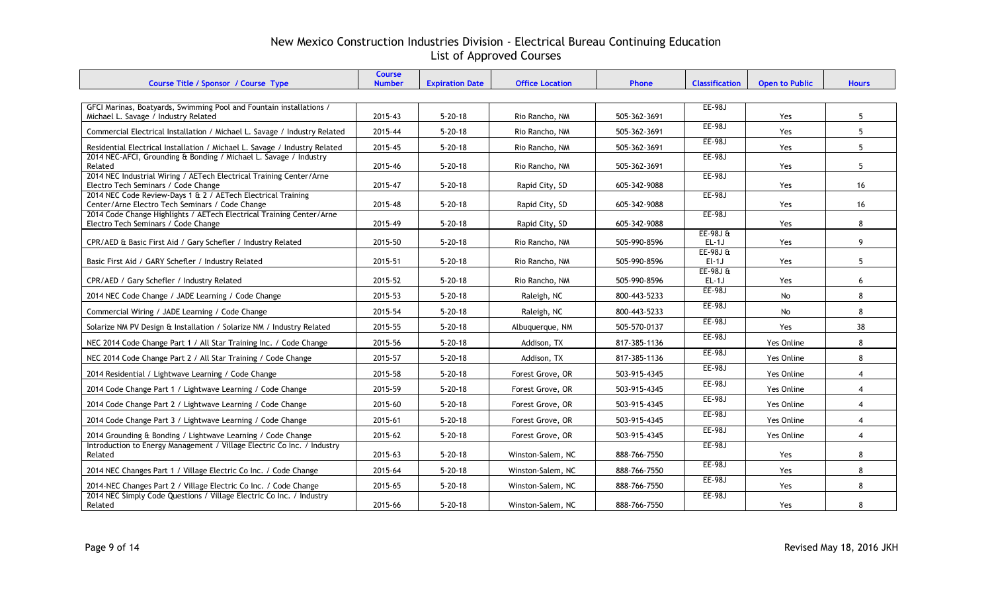| Course Title / Sponsor / Course Type                                                                            | <b>Course</b><br><b>Number</b> | <b>Expiration Date</b> | <b>Office Location</b> | Phone        | <b>Classification</b> | <b>Open to Public</b> | <b>Hours</b>   |
|-----------------------------------------------------------------------------------------------------------------|--------------------------------|------------------------|------------------------|--------------|-----------------------|-----------------------|----------------|
|                                                                                                                 |                                |                        |                        |              |                       |                       |                |
| GFCI Marinas, Boatyards, Swimming Pool and Fountain installations /<br>Michael L. Savage / Industry Related     | 2015-43                        | $5 - 20 - 18$          | Rio Rancho, NM         | 505-362-3691 | <b>EE-98J</b>         | Yes                   | 5              |
| Commercial Electrical Installation / Michael L. Savage / Industry Related                                       | 2015-44                        | $5 - 20 - 18$          | Rio Rancho, NM         | 505-362-3691 | <b>EE-98J</b>         | Yes                   | 5              |
| Residential Electrical Installation / Michael L. Savage / Industry Related                                      | 2015-45                        | $5 - 20 - 18$          | Rio Rancho, NM         | 505-362-3691 | EE-98J                | Yes                   | 5              |
| 2014 NEC-AFCI, Grounding & Bonding / Michael L. Savage / Industry<br>Related                                    | 2015-46                        | $5 - 20 - 18$          | Rio Rancho, NM         | 505-362-3691 | <b>EE-98J</b>         | Yes                   | 5              |
| 2014 NEC Industrial Wiring / AETech Electrical Training Center/Arne<br>Electro Tech Seminars / Code Change      | 2015-47                        | $5 - 20 - 18$          | Rapid City, SD         | 605-342-9088 | <b>EE-98J</b>         | Yes                   | 16             |
| 2014 NEC Code Review-Days 1 & 2 / AETech Electrical Training<br>Center/Arne Electro Tech Seminars / Code Change | 2015-48                        | $5 - 20 - 18$          | Rapid City, SD         | 605-342-9088 | <b>EE-98J</b>         | Yes                   | 16             |
| 2014 Code Change Highlights / AETech Electrical Training Center/Arne<br>Electro Tech Seminars / Code Change     | 2015-49                        | $5 - 20 - 18$          | Rapid City, SD         | 605-342-9088 | <b>EE-98J</b>         | Yes                   | 8              |
| CPR/AED & Basic First Aid / Gary Schefler / Industry Related                                                    | 2015-50                        | $5 - 20 - 18$          | Rio Rancho, NM         | 505-990-8596 | $EE-98Jft$<br>$EL-1J$ | Yes                   | 9              |
| Basic First Aid / GARY Schefler / Industry Related                                                              | 2015-51                        | $5 - 20 - 18$          | Rio Rancho, NM         | 505-990-8596 | $EE-98JE$<br>$El-1J$  | Yes                   | 5              |
| CPR/AED / Gary Schefler / Industry Related                                                                      | 2015-52                        | $5 - 20 - 18$          | Rio Rancho, NM         | 505-990-8596 | $EE-98J0$<br>$EL-1J$  | Yes                   | 6              |
| 2014 NEC Code Change / JADE Learning / Code Change                                                              | 2015-53                        | $5 - 20 - 18$          | Raleigh, NC            | 800-443-5233 | EE-98J                | No                    | 8              |
| Commercial Wiring / JADE Learning / Code Change                                                                 | 2015-54                        | $5 - 20 - 18$          | Raleigh, NC            | 800-443-5233 | <b>EE-98J</b>         | No                    | 8              |
| Solarize NM PV Design & Installation / Solarize NM / Industry Related                                           | 2015-55                        | $5 - 20 - 18$          | Albuquerque, NM        | 505-570-0137 | <b>EE-98J</b>         | Yes                   | 38             |
| NEC 2014 Code Change Part 1 / All Star Training Inc. / Code Change                                              | 2015-56                        | $5 - 20 - 18$          | Addison, TX            | 817-385-1136 | EE-98J                | Yes Online            | 8              |
| NEC 2014 Code Change Part 2 / All Star Training / Code Change                                                   | 2015-57                        | $5 - 20 - 18$          | Addison, TX            | 817-385-1136 | <b>EE-98J</b>         | Yes Online            | 8              |
| 2014 Residential / Lightwave Learning / Code Change                                                             | 2015-58                        | $5 - 20 - 18$          | Forest Grove, OR       | 503-915-4345 | <b>EE-98J</b>         | Yes Online            | $\overline{4}$ |
| 2014 Code Change Part 1 / Lightwave Learning / Code Change                                                      | 2015-59                        | $5 - 20 - 18$          | Forest Grove, OR       | 503-915-4345 | <b>EE-98J</b>         | Yes Online            | $\overline{4}$ |
| 2014 Code Change Part 2 / Lightwave Learning / Code Change                                                      | 2015-60                        | $5 - 20 - 18$          | Forest Grove, OR       | 503-915-4345 | EE-98J                | Yes Online            | $\overline{4}$ |
| 2014 Code Change Part 3 / Lightwave Learning / Code Change                                                      | 2015-61                        | $5 - 20 - 18$          | Forest Grove, OR       | 503-915-4345 | EE-98J                | Yes Online            | $\overline{4}$ |
| 2014 Grounding & Bonding / Lightwave Learning / Code Change                                                     | 2015-62                        | $5 - 20 - 18$          | Forest Grove, OR       | 503-915-4345 | <b>EE-98J</b>         | Yes Online            | $\overline{4}$ |
| Introduction to Energy Management / Village Electric Co Inc. / Industry<br>Related                              | 2015-63                        | $5 - 20 - 18$          | Winston-Salem, NC      | 888-766-7550 | EE-98J                | Yes                   | 8              |
| 2014 NEC Changes Part 1 / Village Electric Co Inc. / Code Change                                                | 2015-64                        | $5 - 20 - 18$          | Winston-Salem, NC      | 888-766-7550 | EE-98J                | <b>Yes</b>            | 8              |
| 2014-NEC Changes Part 2 / Village Electric Co Inc. / Code Change                                                | 2015-65                        | $5 - 20 - 18$          | Winston-Salem, NC      | 888-766-7550 | EE-98J                | Yes                   | 8              |
| 2014 NEC Simply Code Questions / Village Electric Co Inc. / Industry<br>Related                                 | 2015-66                        | $5 - 20 - 18$          | Winston-Salem, NC      | 888-766-7550 | <b>EE-98J</b>         | Yes                   | 8              |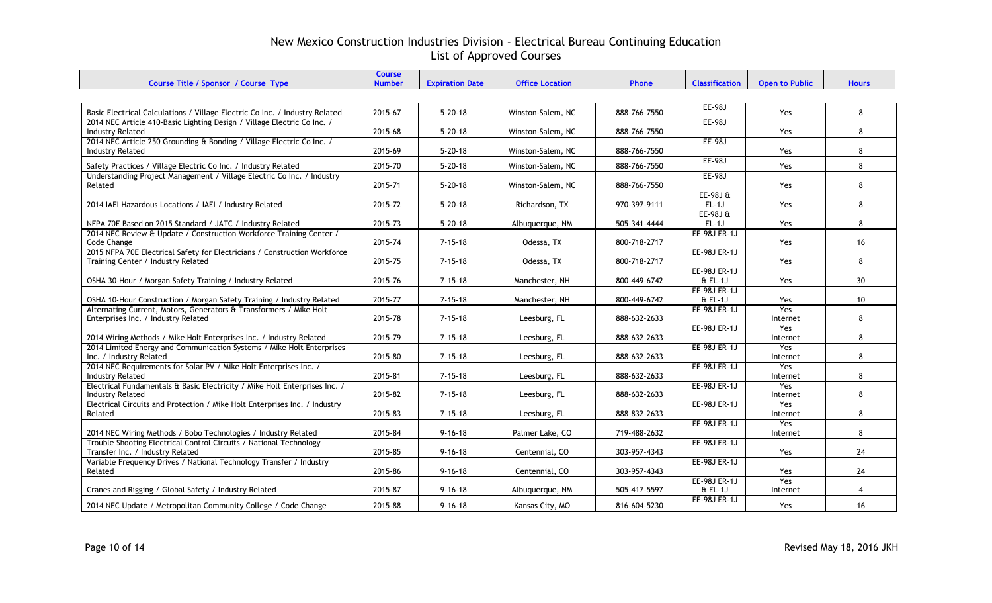| Course Title / Sponsor / Course Type                                                                            | <b>Course</b><br><b>Number</b> | <b>Expiration Date</b> | <b>Office Location</b> | Phone        | <b>Classification</b>     | <b>Open to Public</b> | <b>Hours</b>    |
|-----------------------------------------------------------------------------------------------------------------|--------------------------------|------------------------|------------------------|--------------|---------------------------|-----------------------|-----------------|
|                                                                                                                 |                                |                        |                        |              |                           |                       |                 |
| Basic Electrical Calculations / Village Electric Co Inc. / Industry Related                                     | 2015-67                        | $5 - 20 - 18$          | Winston-Salem, NC      | 888-766-7550 | EE-98J                    | Yes                   | 8               |
| 2014 NEC Article 410-Basic Lighting Design / Village Electric Co Inc. /<br><b>Industry Related</b>              | 2015-68                        | $5 - 20 - 18$          | Winston-Salem, NC      | 888-766-7550 | EE-98J                    | <b>Yes</b>            | 8               |
| 2014 NEC Article 250 Grounding & Bonding / Village Electric Co Inc. /<br><b>Industry Related</b>                | 2015-69                        | $5 - 20 - 18$          | Winston-Salem, NC      | 888-766-7550 | <b>EE-98J</b>             | Yes                   | 8               |
| Safety Practices / Village Electric Co Inc. / Industry Related                                                  | 2015-70                        | $5 - 20 - 18$          | Winston-Salem, NC      | 888-766-7550 | <b>EE-98J</b>             | Yes                   | 8               |
| Understanding Project Management / Village Electric Co Inc. / Industry<br>Related                               | 2015-71                        | $5 - 20 - 18$          | Winston-Salem, NC      | 888-766-7550 | <b>EE-98J</b>             | Yes                   | 8               |
| 2014 IAEI Hazardous Locations / IAEI / Industry Related                                                         | 2015-72                        | $5 - 20 - 18$          | Richardson, TX         | 970-397-9111 | $EE-98JE$<br>$EL-1J$      | Yes                   | 8               |
| NFPA 70E Based on 2015 Standard / JATC / Industry Related                                                       | 2015-73                        | $5 - 20 - 18$          | Albuquerque, NM        | 505-341-4444 | $EE-98JE$<br>$EL-1J$      | Yes                   | 8               |
| 2014 NEC Review & Update / Construction Workforce Training Center /<br>Code Change                              | 2015-74                        | $7 - 15 - 18$          | Odessa, TX             | 800-718-2717 | EE-98J ER-1J              | Yes                   | 16              |
| 2015 NFPA 70E Electrical Safety for Electricians / Construction Workforce<br>Training Center / Industry Related | 2015-75                        | $7 - 15 - 18$          | Odessa, TX             | 800-718-2717 | <b>EE-98J ER-1J</b>       | Yes                   | 8               |
| OSHA 30-Hour / Morgan Safety Training / Industry Related                                                        | 2015-76                        | $7 - 15 - 18$          | Manchester, NH         | 800-449-6742 | EE-98J ER-1J<br>& EL-1J   | Yes                   | 30 <sup>°</sup> |
| OSHA 10-Hour Construction / Morgan Safety Training / Industry Related                                           | 2015-77                        | $7 - 15 - 18$          | Manchester, NH         | 800-449-6742 | EE-98J ER-1J<br>& EL-1J   | Yes                   | 10              |
| Alternating Current, Motors, Generators & Transformers / Mike Holt<br>Enterprises Inc. / Industry Related       | 2015-78                        | $7 - 15 - 18$          | Leesburg, FL           | 888-632-2633 | EE-98J ER-1J              | Yes<br>Internet       | 8               |
| 2014 Wiring Methods / Mike Holt Enterprises Inc. / Industry Related                                             | 2015-79                        | $7 - 15 - 18$          | Leesburg, FL           | 888-632-2633 | <b>EE-98J ER-1J</b>       | Yes<br>Internet       | 8               |
| 2014 Limited Energy and Communication Systems / Mike Holt Enterprises<br>Inc. / Industry Related                | 2015-80                        | $7 - 15 - 18$          | Leesburg, FL           | 888-632-2633 | <b>EE-98J ER-1J</b>       | Yes<br>Internet       | 8               |
| 2014 NEC Requirements for Solar PV / Mike Holt Enterprises Inc. /<br><b>Industry Related</b>                    | 2015-81                        | $7 - 15 - 18$          | Leesburg, FL           | 888-632-2633 | <b>EE-98J ER-1J</b>       | Yes<br>Internet       | 8               |
| Electrical Fundamentals & Basic Electricity / Mike Holt Enterprises Inc. /<br><b>Industry Related</b>           | 2015-82                        | $7 - 15 - 18$          | Leesburg, FL           | 888-632-2633 | <b>EE-98J ER-1J</b>       | Yes<br>Internet       | 8               |
| Electrical Circuits and Protection / Mike Holt Enterprises Inc. / Industry<br>Related                           | 2015-83                        | $7 - 15 - 18$          | Leesburg, FL           | 888-832-2633 | EE-98J ER-1J              | Yes<br>Internet       | 8               |
| 2014 NEC Wiring Methods / Bobo Technologies / Industry Related                                                  | 2015-84                        | $9 - 16 - 18$          | Palmer Lake, CO        | 719-488-2632 | <b>EE-98J ER-1J</b>       | Yes<br>Internet       | 8               |
| Trouble Shooting Electrical Control Circuits / National Technology<br>Transfer Inc. / Industry Related          | 2015-85                        | $9 - 16 - 18$          | Centennial, CO         | 303-957-4343 | <b>EE-98J ER-1J</b>       | Yes                   | 24              |
| Variable Frequency Drives / National Technology Transfer / Industry<br>Related                                  | 2015-86                        | $9 - 16 - 18$          | Centennial, CO         | 303-957-4343 | <b>EE-98J ER-1J</b>       | Yes                   | 24              |
| Cranes and Rigging / Global Safety / Industry Related                                                           | 2015-87                        | $9 - 16 - 18$          | Albuquerque, NM        | 505-417-5597 | EE-98J ER-1J<br>$E$ EL-1J | Yes<br>Internet       | $\overline{4}$  |
| 2014 NEC Update / Metropolitan Community College / Code Change                                                  | 2015-88                        | $9 - 16 - 18$          | Kansas City, MO        | 816-604-5230 | <b>EE-98J ER-1J</b>       | Yes                   | 16              |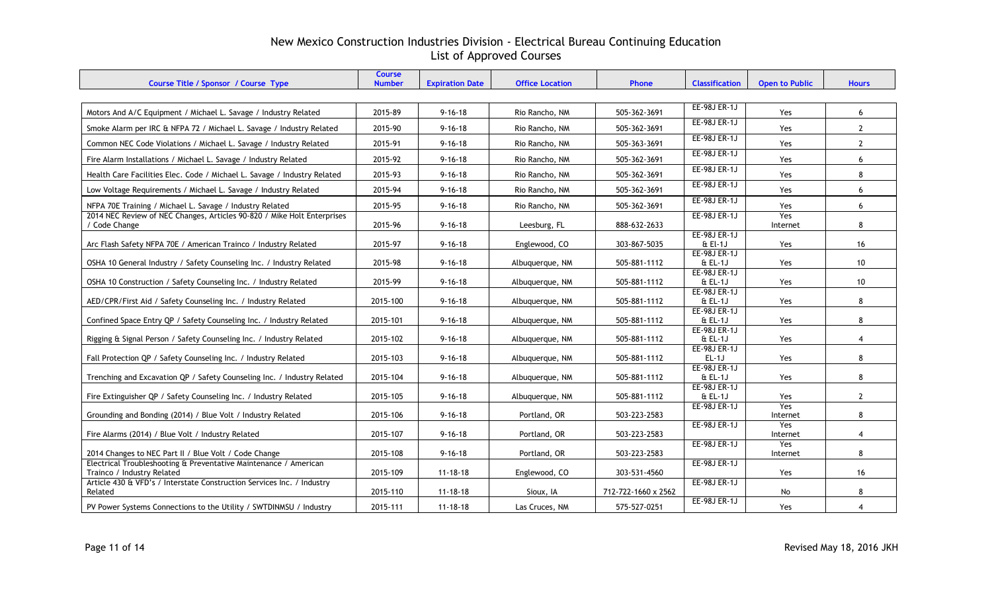| Course Title / Sponsor / Course Type                                                           | <b>Course</b><br><b>Number</b> | <b>Expiration Date</b> | <b>Office Location</b> | Phone               | <b>Classification</b>          | <b>Open to Public</b> | <b>Hours</b>   |
|------------------------------------------------------------------------------------------------|--------------------------------|------------------------|------------------------|---------------------|--------------------------------|-----------------------|----------------|
|                                                                                                |                                |                        |                        |                     |                                |                       |                |
| Motors And A/C Equipment / Michael L. Savage / Industry Related                                | 2015-89                        | $9 - 16 - 18$          | Rio Rancho, NM         | 505-362-3691        | <b>EE-98J ER-1J</b>            | Yes                   | 6              |
| Smoke Alarm per IRC & NFPA 72 / Michael L. Savage / Industry Related                           | 2015-90                        | $9 - 16 - 18$          | Rio Rancho, NM         | 505-362-3691        | EE-98J ER-1J                   | Yes                   | $\mathbf{2}$   |
| Common NEC Code Violations / Michael L. Savage / Industry Related                              | 2015-91                        | $9 - 16 - 18$          | Rio Rancho, NM         | 505-363-3691        | <b>EE-98J ER-1J</b>            | Yes                   | $\mathbf{2}$   |
| Fire Alarm Installations / Michael L. Savage / Industry Related                                | 2015-92                        | $9 - 16 - 18$          | Rio Rancho, NM         | 505-362-3691        | EE-98J ER-1J                   | Yes                   | 6              |
| Health Care Facilities Elec. Code / Michael L. Savage / Industry Related                       | 2015-93                        | $9 - 16 - 18$          | Rio Rancho, NM         | 505-362-3691        | <b>EE-98J ER-1J</b>            | Yes                   | 8              |
| Low Voltage Requirements / Michael L. Savage / Industry Related                                | 2015-94                        | $9 - 16 - 18$          | Rio Rancho, NM         | 505-362-3691        | <b>EE-98J ER-1J</b>            | Yes                   | 6              |
| NFPA 70E Training / Michael L. Savage / Industry Related                                       | 2015-95                        | $9 - 16 - 18$          | Rio Rancho, NM         | 505-362-3691        | <b>EE-98J ER-1J</b>            | Yes                   | 6              |
| 2014 NEC Review of NEC Changes, Articles 90-820 / Mike Holt Enterprises<br>/ Code Change       | 2015-96                        | $9 - 16 - 18$          | Leesburg, FL           | 888-632-2633        | EE-98J ER-1J                   | Yes<br>Internet       | 8              |
| Arc Flash Safety NFPA 70E / American Trainco / Industry Related                                | 2015-97                        | $9 - 16 - 18$          | Englewood, CO          | 303-867-5035        | EE-98J ER-1J<br>$E$ El-1J      | Yes                   | 16             |
| OSHA 10 General Industry / Safety Counseling Inc. / Industry Related                           | 2015-98                        | $9 - 16 - 18$          | Albuquerque, NM        | 505-881-1112        | <b>EE-98J ER-1J</b><br>& EL-1J | Yes                   | 10             |
| OSHA 10 Construction / Safety Counseling Inc. / Industry Related                               | 2015-99                        | $9 - 16 - 18$          | Albuquerque, NM        | 505-881-1112        | <b>EE-98J ER-1J</b><br>& EL-1J | Yes                   | 10             |
| AED/CPR/First Aid / Safety Counseling Inc. / Industry Related                                  | 2015-100                       | $9 - 16 - 18$          | Albuquerque, NM        | 505-881-1112        | EE-98J ER-1J<br>$E.EL-1J$      | Yes                   | 8              |
| Confined Space Entry QP / Safety Counseling Inc. / Industry Related                            | 2015-101                       | $9 - 16 - 18$          | Albuquerque, NM        | 505-881-1112        | EE-98J ER-1J<br>& EL-1J        | Yes                   | 8              |
| Rigging & Signal Person / Safety Counseling Inc. / Industry Related                            | 2015-102                       | $9 - 16 - 18$          | Albuquerque, NM        | 505-881-1112        | <b>EE-98J ER-1J</b><br>& EL-1J | Yes                   | $\overline{4}$ |
| Fall Protection QP / Safety Counseling Inc. / Industry Related                                 | 2015-103                       | $9 - 16 - 18$          | Albuquerque, NM        | 505-881-1112        | <b>EE-98J ER-1J</b><br>$EL-1J$ | Yes                   | 8              |
| Trenching and Excavation QP / Safety Counseling Inc. / Industry Related                        | 2015-104                       | $9 - 16 - 18$          | Albuquerque, NM        | 505-881-1112        | EE-98J ER-1J<br>& EL-1J        | Yes                   | 8              |
| Fire Extinguisher QP / Safety Counseling Inc. / Industry Related                               | 2015-105                       | $9 - 16 - 18$          | Albuquerque, NM        | 505-881-1112        | EE-98J ER-1J<br>$E$ EL-1J      | Yes                   | $\mathbf{2}$   |
| Grounding and Bonding (2014) / Blue Volt / Industry Related                                    | 2015-106                       | $9 - 16 - 18$          | Portland, OR           | 503-223-2583        | <b>EE-98J ER-1J</b>            | Yes<br>Internet       | 8              |
| Fire Alarms (2014) / Blue Volt / Industry Related                                              | 2015-107                       | $9 - 16 - 18$          | Portland, OR           | 503-223-2583        | EE-98J ER-1J                   | Yes<br>Internet       | $\overline{4}$ |
| 2014 Changes to NEC Part II / Blue Volt / Code Change                                          | 2015-108                       | $9 - 16 - 18$          | Portland, OR           | 503-223-2583        | EE-98J ER-1J                   | Yes<br>Internet       | 8              |
| Electrical Troubleshooting & Preventative Maintenance / American<br>Trainco / Industry Related | 2015-109                       | $11 - 18 - 18$         | Englewood, CO          | 303-531-4560        | <b>EE-98J ER-1J</b>            | Yes                   | 16             |
| Article 430 & VFD's / Interstate Construction Services Inc. / Industry<br>Related              | 2015-110                       | $11 - 18 - 18$         | Sioux, IA              | 712-722-1660 x 2562 | EE-98J ER-1J                   | No                    | 8              |
| PV Power Systems Connections to the Utility / SWTDINMSU / Industry                             | 2015-111                       | $11 - 18 - 18$         | Las Cruces, NM         | 575-527-0251        | EE-98J ER-1J                   | Yes                   | 4              |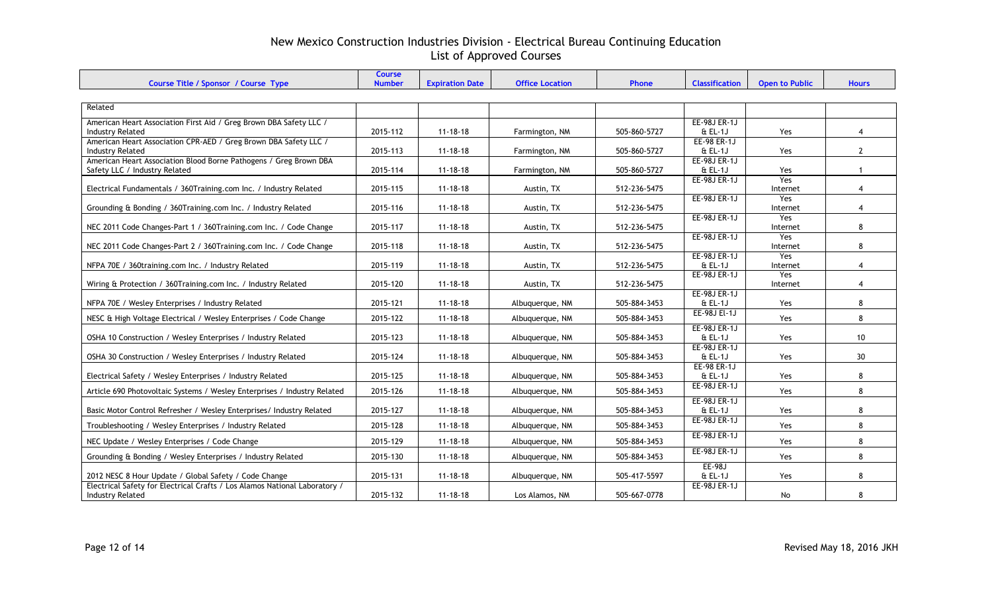| Course Title / Sponsor / Course Type                                                          | <b>Course</b><br><b>Number</b> | <b>Expiration Date</b> | <b>Office Location</b> | <b>Phone</b> | <b>Classification</b>     | <b>Open to Public</b> | <b>Hours</b>   |
|-----------------------------------------------------------------------------------------------|--------------------------------|------------------------|------------------------|--------------|---------------------------|-----------------------|----------------|
|                                                                                               |                                |                        |                        |              |                           |                       |                |
| Related                                                                                       |                                |                        |                        |              |                           |                       |                |
|                                                                                               |                                |                        |                        |              | EE-98J ER-1J              |                       |                |
| American Heart Association First Aid / Greg Brown DBA Safety LLC /<br><b>Industry Related</b> | 2015-112                       | $11 - 18 - 18$         | Farmington, NM         | 505-860-5727 | $E$ EL-1J                 | Yes                   | 4              |
| American Heart Association CPR-AED / Greg Brown DBA Safety LLC /                              |                                |                        |                        |              | EE-98 ER-1J               |                       |                |
| <b>Industry Related</b>                                                                       | 2015-113                       | $11 - 18 - 18$         | Farmington, NM         | 505-860-5727 | $E.L-1J$                  | Yes                   | $\overline{2}$ |
| American Heart Association Blood Borne Pathogens / Greg Brown DBA                             |                                |                        |                        |              | <b>EE-98J ER-1J</b>       |                       |                |
| Safety LLC / Industry Related                                                                 | 2015-114                       | $11 - 18 - 18$         | Farmington, NM         | 505-860-5727 | $E$ EL-1J                 | Yes<br>Yes            | $\mathbf{1}$   |
| Electrical Fundamentals / 360Training.com Inc. / Industry Related                             | 2015-115                       | $11 - 18 - 18$         | Austin, TX             | 512-236-5475 | EE-98J ER-1J              | Internet              | 4              |
|                                                                                               |                                |                        |                        |              | EE-98J ER-1J              | Yes                   |                |
| Grounding & Bonding / 360Training.com Inc. / Industry Related                                 | 2015-116                       | $11 - 18 - 18$         | Austin, TX             | 512-236-5475 |                           | Internet              | 4              |
|                                                                                               |                                |                        |                        |              | EE-98J ER-1J              | Yes                   |                |
| NEC 2011 Code Changes-Part 1 / 360Training.com Inc. / Code Change                             | 2015-117                       | $11 - 18 - 18$         | Austin, TX             | 512-236-5475 | <b>EE-98J ER-1J</b>       | Internet<br>Yes       | 8              |
| NEC 2011 Code Changes-Part 2 / 360Training.com Inc. / Code Change                             | 2015-118                       | $11 - 18 - 18$         | Austin, TX             | 512-236-5475 |                           | Internet              | 8              |
|                                                                                               |                                |                        |                        |              | EE-98J ER-1J              | Yes                   |                |
| NFPA 70E / 360training.com Inc. / Industry Related                                            | 2015-119                       | $11 - 18 - 18$         | Austin, TX             | 512-236-5475 | $E$ EL-1J                 | Internet              | 4              |
|                                                                                               |                                |                        |                        |              | <b>EE-98J ER-1J</b>       | Yes                   |                |
| Wiring & Protection / 360Training.com Inc. / Industry Related                                 | 2015-120                       | $11 - 18 - 18$         | Austin, TX             | 512-236-5475 |                           | Internet              | 4              |
| NFPA 70E / Wesley Enterprises / Industry Related                                              | 2015-121                       | $11 - 18 - 18$         | Albuguergue, NM        | 505-884-3453 | EE-98J ER-1J<br>$E$ EL-1J | Yes                   | 8              |
|                                                                                               |                                |                        |                        |              | EE-98J El-1J              |                       |                |
| NESC & High Voltage Electrical / Wesley Enterprises / Code Change                             | 2015-122                       | $11 - 18 - 18$         | Albuguergue, NM        | 505-884-3453 |                           | Yes                   | 8              |
| OSHA 10 Construction / Wesley Enterprises / Industry Related                                  | 2015-123                       | $11 - 18 - 18$         | Albuquerque, NM        | 505-884-3453 | EE-98J ER-1J<br>$E$ EL-1J | Yes                   | 10             |
|                                                                                               |                                |                        |                        |              | <b>EE-98J ER-1J</b>       |                       |                |
| OSHA 30 Construction / Wesley Enterprises / Industry Related                                  | 2015-124                       | $11 - 18 - 18$         | Albuquerque, NM        | 505-884-3453 | & EL-1J                   | Yes                   | 30             |
|                                                                                               |                                |                        |                        |              | EE-98 ER-1J               |                       |                |
| Electrical Safety / Wesley Enterprises / Industry Related                                     | 2015-125                       | $11 - 18 - 18$         | Albuquerque, NM        | 505-884-3453 | $E$ EL-1J                 | Yes                   | 8              |
| Article 690 Photovoltaic Systems / Wesley Enterprises / Industry Related                      | 2015-126                       | $11 - 18 - 18$         | Albuquerque, NM        | 505-884-3453 | EE-98J ER-1J              | Yes                   | 8              |
|                                                                                               |                                |                        |                        |              | EE-98J ER-1J              |                       |                |
| Basic Motor Control Refresher / Wesley Enterprises/ Industry Related                          | 2015-127                       | $11 - 18 - 18$         | Albuquerque, NM        | 505-884-3453 | $E$ EL-1J                 | Yes                   | 8              |
| Troubleshooting / Wesley Enterprises / Industry Related                                       | 2015-128                       | $11 - 18 - 18$         | Albuquerque, NM        | 505-884-3453 | EE-98J ER-1J              | Yes                   | 8              |
| NEC Update / Wesley Enterprises / Code Change                                                 | 2015-129                       | $11 - 18 - 18$         | Albuquerque, NM        | 505-884-3453 | <b>EE-98J ER-1J</b>       | Yes                   | 8              |
|                                                                                               |                                |                        |                        |              | <b>EE-98J ER-1J</b>       |                       |                |
| Grounding & Bonding / Wesley Enterprises / Industry Related                                   | 2015-130                       | $11 - 18 - 18$         | Albuquerque, NM        | 505-884-3453 | $EE-98J$                  | Yes                   | 8              |
| 2012 NESC 8 Hour Update / Global Safety / Code Change                                         | 2015-131                       | $11 - 18 - 18$         | Albuquerque, NM        | 505-417-5597 | & EL-1J                   | Yes                   | 8              |
| Electrical Safety for Electrical Crafts / Los Alamos National Laboratory /                    |                                |                        |                        |              | EE-98J ER-1J              |                       |                |
| <b>Industry Related</b>                                                                       | 2015-132                       | $11 - 18 - 18$         | Los Alamos, NM         | 505-667-0778 |                           | No                    | 8              |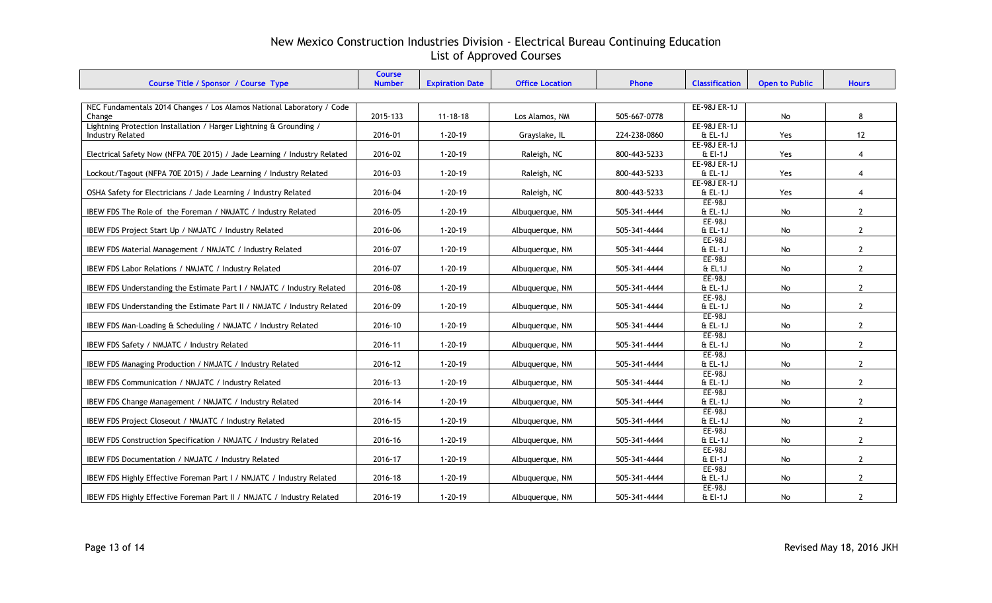|                                                                                 | <b>Course</b><br><b>Number</b> |                        | <b>Office Location</b> | Phone        | <b>Classification</b> | <b>Open to Public</b> | <b>Hours</b>   |  |  |  |  |
|---------------------------------------------------------------------------------|--------------------------------|------------------------|------------------------|--------------|-----------------------|-----------------------|----------------|--|--|--|--|
| Course Title / Sponsor / Course Type                                            |                                | <b>Expiration Date</b> |                        |              |                       |                       |                |  |  |  |  |
|                                                                                 |                                |                        |                        |              |                       |                       |                |  |  |  |  |
| NEC Fundamentals 2014 Changes / Los Alamos National Laboratory / Code<br>Change | 2015-133                       | $11 - 18 - 18$         | Los Alamos, NM         | 505-667-0778 | <b>EE-98J ER-1J</b>   | No                    | 8              |  |  |  |  |
| Lightning Protection Installation / Harger Lightning & Grounding /              |                                |                        |                        |              | <b>EE-98J ER-1J</b>   |                       |                |  |  |  |  |
| <b>Industry Related</b>                                                         | 2016-01                        | $1 - 20 - 19$          | Grayslake, IL          | 224-238-0860 | $E$ EL-1J             | Yes                   | 12             |  |  |  |  |
|                                                                                 |                                |                        |                        |              | EE-98J ER-1J          |                       |                |  |  |  |  |
| Electrical Safety Now (NFPA 70E 2015) / Jade Learning / Industry Related        | 2016-02                        | $1 - 20 - 19$          | Raleigh, NC            | 800-443-5233 | & El-1J               | Yes                   | $\overline{4}$ |  |  |  |  |
|                                                                                 |                                |                        |                        |              | EE-98J ER-1J          |                       |                |  |  |  |  |
| Lockout/Tagout (NFPA 70E 2015) / Jade Learning / Industry Related               | 2016-03                        | $1 - 20 - 19$          | Raleigh, NC            | 800-443-5233 | $E$ EL-1J             | Yes                   | 4              |  |  |  |  |
|                                                                                 |                                |                        |                        |              | <b>EE-98J ER-1J</b>   |                       |                |  |  |  |  |
| OSHA Safety for Electricians / Jade Learning / Industry Related                 | 2016-04                        | $1 - 20 - 19$          | Raleigh, NC            | 800-443-5233 | $E$ EL-1J             | Yes                   | 4              |  |  |  |  |
|                                                                                 | 2016-05                        | $1 - 20 - 19$          |                        | 505-341-4444 | EE-98J<br>$E$ EL-1J   | No                    | $\mathbf{2}$   |  |  |  |  |
| IBEW FDS The Role of the Foreman / NMJATC / Industry Related                    |                                |                        | Albuquerque, NM        |              | EE-98J                |                       |                |  |  |  |  |
| IBEW FDS Project Start Up / NMJATC / Industry Related                           | 2016-06                        | $1 - 20 - 19$          | Albuquerque, NM        | 505-341-4444 | $E$ EL-1J             | No                    | $\overline{2}$ |  |  |  |  |
|                                                                                 |                                |                        |                        |              | <b>EE-98J</b>         |                       |                |  |  |  |  |
| <b>IBEW FDS Material Management / NMJATC / Industry Related</b>                 | 2016-07                        | $1 - 20 - 19$          | Albuquerque, NM        | 505-341-4444 | $E$ EL-1J             | No                    | $\overline{2}$ |  |  |  |  |
|                                                                                 |                                |                        |                        |              | EE-98J                |                       |                |  |  |  |  |
| IBEW FDS Labor Relations / NMJATC / Industry Related                            | 2016-07                        | $1 - 20 - 19$          | Albuquerque, NM        | 505-341-4444 | & EL1J                | No                    | $\mathbf{2}$   |  |  |  |  |
|                                                                                 |                                |                        |                        |              | EE-98J                |                       |                |  |  |  |  |
| IBEW FDS Understanding the Estimate Part I / NMJATC / Industry Related          | 2016-08                        | $1 - 20 - 19$          | Albuquerque, NM        | 505-341-4444 | $E$ EL-1J             | No                    | $\mathbf{2}$   |  |  |  |  |
|                                                                                 |                                |                        |                        |              | <b>EE-98J</b>         |                       |                |  |  |  |  |
| IBEW FDS Understanding the Estimate Part II / NMJATC / Industry Related         | 2016-09                        | $1 - 20 - 19$          | Albuquerque, NM        | 505-341-4444 | $E$ EL-1J<br>EE-98J   | No                    | $\mathbf{2}$   |  |  |  |  |
| IBEW FDS Man-Loading & Scheduling / NMJATC / Industry Related                   | 2016-10                        | $1 - 20 - 19$          | Albuquerque, NM        | 505-341-4444 | $E$ EL-1J             | No                    | $\mathbf{2}$   |  |  |  |  |
|                                                                                 |                                |                        |                        |              | EE-98J                |                       |                |  |  |  |  |
| IBEW FDS Safety / NMJATC / Industry Related                                     | 2016-11                        | $1 - 20 - 19$          | Albuquerque, NM        | 505-341-4444 | $E.L-1J$              | No                    | $\mathbf{2}$   |  |  |  |  |
|                                                                                 |                                |                        |                        |              | EE-98J                |                       |                |  |  |  |  |
| IBEW FDS Managing Production / NMJATC / Industry Related                        | 2016-12                        | $1 - 20 - 19$          | Albuquerque, NM        | 505-341-4444 | & EL-1J               | No                    | $\mathbf{2}$   |  |  |  |  |
|                                                                                 |                                |                        |                        |              | <b>EE-98J</b>         |                       |                |  |  |  |  |
| IBEW FDS Communication / NMJATC / Industry Related                              | 2016-13                        | $1 - 20 - 19$          | Albuquerque, NM        | 505-341-4444 | $E$ EL-1J             | No                    | $\overline{2}$ |  |  |  |  |
|                                                                                 |                                |                        |                        |              | EE-98J                |                       |                |  |  |  |  |
| IBEW FDS Change Management / NMJATC / Industry Related                          | 2016-14                        | $1 - 20 - 19$          | Albuquerque, NM        | 505-341-4444 | $E$ EL-1J<br>EE-98J   | No                    | $\overline{2}$ |  |  |  |  |
| IBEW FDS Project Closeout / NMJATC / Industry Related                           | 2016-15                        | $1 - 20 - 19$          | Albuquerque, NM        | 505-341-4444 | & EL-1J               | No                    | $\mathbf{2}$   |  |  |  |  |
|                                                                                 |                                |                        |                        |              | <b>EE-98J</b>         |                       |                |  |  |  |  |
| <b>IBEW FDS Construction Specification / NMJATC / Industry Related</b>          | 2016-16                        | $1 - 20 - 19$          | Albuquerque, NM        | 505-341-4444 | $E$ EL-1J             | No                    | $\overline{2}$ |  |  |  |  |
|                                                                                 |                                |                        |                        |              | EE-98J                |                       |                |  |  |  |  |
| IBEW FDS Documentation / NMJATC / Industry Related                              | 2016-17                        | $1 - 20 - 19$          | Albuquerque, NM        | 505-341-4444 | & El-1J               | No                    | $\mathbf{2}$   |  |  |  |  |
|                                                                                 |                                |                        |                        |              | EE-98J                |                       |                |  |  |  |  |
| IBEW FDS Highly Effective Foreman Part I / NMJATC / Industry Related            | 2016-18                        | $1 - 20 - 19$          | Albuquerque, NM        | 505-341-4444 | $E.L-1J$              | No                    | $\overline{2}$ |  |  |  |  |
|                                                                                 |                                |                        |                        |              | EE-98J                |                       |                |  |  |  |  |
| IBEW FDS Highly Effective Foreman Part II / NMJATC / Industry Related           | 2016-19                        | $1 - 20 - 19$          | Albuquerque, NM        | 505-341-4444 | $E$ El-1J             | No                    | $\overline{2}$ |  |  |  |  |